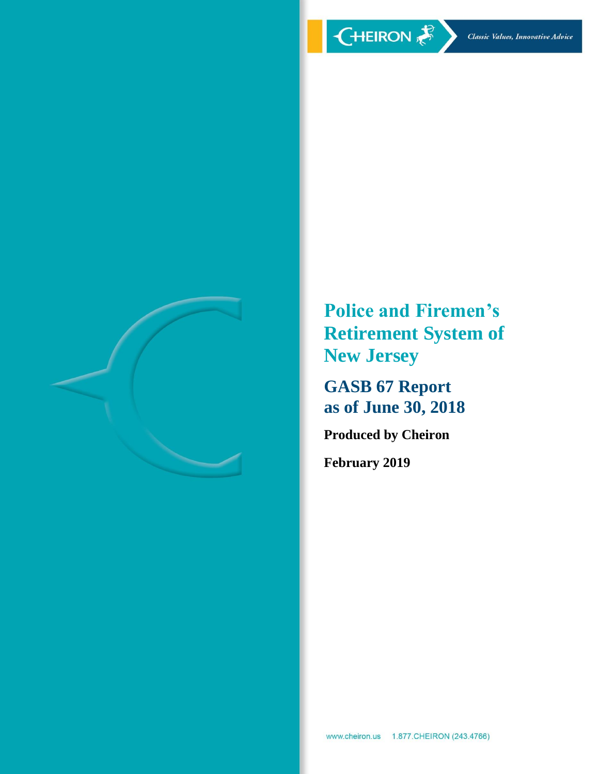

**Police and Firemen's Retirement System of New Jersey**

**GASB 67 Report as of June 30, 2018**

**Produced by Cheiron**

**February 2019**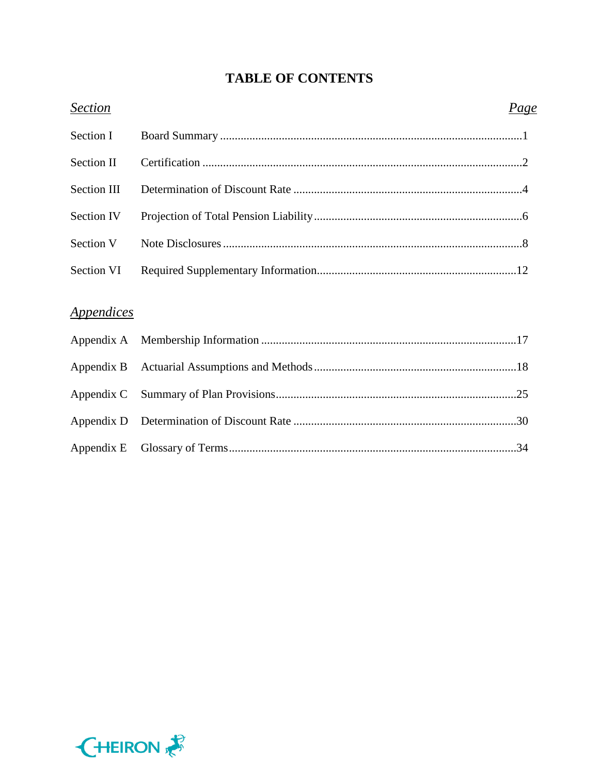# **TABLE OF CONTENTS**

| <b>Section</b>                  | <u>Page</u> |
|---------------------------------|-------------|
| Section I                       |             |
| <b>Section II</b>               |             |
| Section III                     |             |
| Section IV                      |             |
| Section V                       |             |
| Section VI                      |             |
|                                 |             |
| <i><u><b>Appendices</b></u></i> |             |
| Appendix A                      |             |
| Appendix B                      |             |
| Appendix C                      |             |
| Appendix D                      |             |
| Appendix E                      |             |

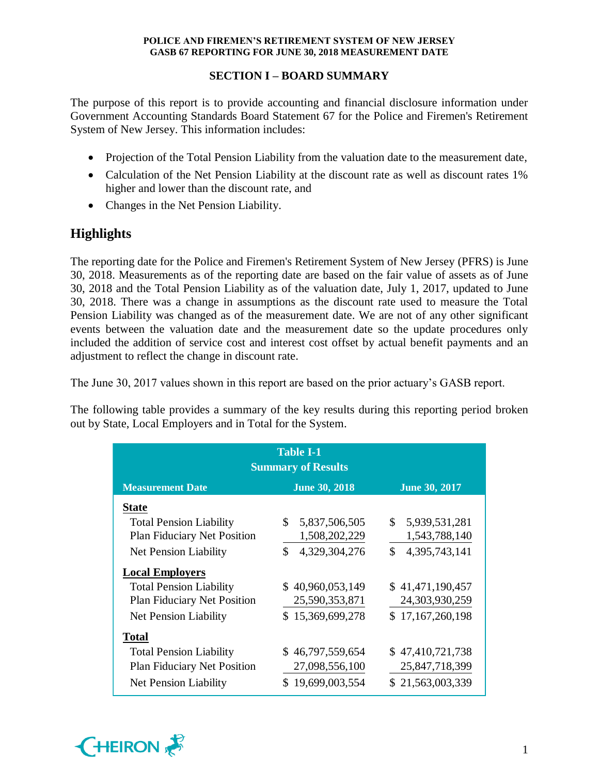# **SECTION I – BOARD SUMMARY**

The purpose of this report is to provide accounting and financial disclosure information under Government Accounting Standards Board Statement 67 for the Police and Firemen's Retirement System of New Jersey. This information includes:

- Projection of the Total Pension Liability from the valuation date to the measurement date,
- Calculation of the Net Pension Liability at the discount rate as well as discount rates 1% higher and lower than the discount rate, and
- Changes in the Net Pension Liability.

# **Highlights**

The reporting date for the Police and Firemen's Retirement System of New Jersey (PFRS) is June 30, 2018. Measurements as of the reporting date are based on the fair value of assets as of June 30, 2018 and the Total Pension Liability as of the valuation date, July 1, 2017, updated to June 30, 2018. There was a change in assumptions as the discount rate used to measure the Total Pension Liability was changed as of the measurement date. We are not of any other significant events between the valuation date and the measurement date so the update procedures only included the addition of service cost and interest cost offset by actual benefit payments and an adjustment to reflect the change in discount rate.

The June 30, 2017 values shown in this report are based on the prior actuary's GASB report.

The following table provides a summary of the key results during this reporting period broken out by State, Local Employers and in Total for the System.

| <b>Table I-1</b><br><b>Summary of Results</b>                           |                               |                     |  |  |  |  |  |  |  |
|-------------------------------------------------------------------------|-------------------------------|---------------------|--|--|--|--|--|--|--|
| <b>June 30, 2017</b><br><b>Measurement Date</b><br><b>June 30, 2018</b> |                               |                     |  |  |  |  |  |  |  |
| <b>State</b>                                                            |                               |                     |  |  |  |  |  |  |  |
| <b>Total Pension Liability</b>                                          | $\mathbb{S}$<br>5,837,506,505 | \$5,939,531,281     |  |  |  |  |  |  |  |
| <b>Plan Fiduciary Net Position</b>                                      | 1,508,202,229                 | 1,543,788,140       |  |  |  |  |  |  |  |
| Net Pension Liability                                                   | \$<br>4,329,304,276           | \$<br>4,395,743,141 |  |  |  |  |  |  |  |
| <b>Local Employers</b>                                                  |                               |                     |  |  |  |  |  |  |  |
| <b>Total Pension Liability</b>                                          | \$40,960,053,149              | \$41,471,190,457    |  |  |  |  |  |  |  |
| <b>Plan Fiduciary Net Position</b>                                      | 25,590,353,871                | 24,303,930,259      |  |  |  |  |  |  |  |
| Net Pension Liability                                                   | \$15,369,699,278              | \$17,167,260,198    |  |  |  |  |  |  |  |
| <b>Total</b>                                                            |                               |                     |  |  |  |  |  |  |  |
| <b>Total Pension Liability</b>                                          | \$46,797,559,654              | \$47,410,721,738    |  |  |  |  |  |  |  |
| <b>Plan Fiduciary Net Position</b>                                      | 27,098,556,100                | 25,847,718,399      |  |  |  |  |  |  |  |
| Net Pension Liability                                                   | \$19,699,003,554              | \$21,563,003,339    |  |  |  |  |  |  |  |

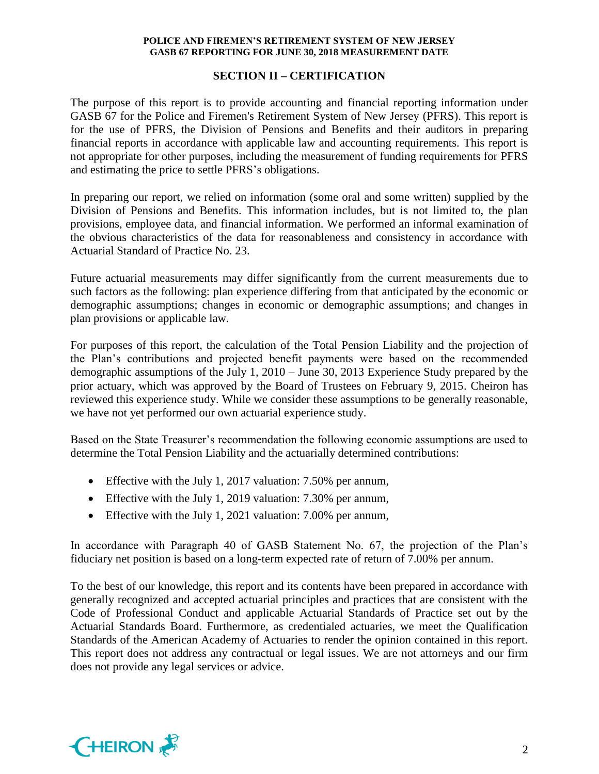# **SECTION II – CERTIFICATION**

The purpose of this report is to provide accounting and financial reporting information under GASB 67 for the Police and Firemen's Retirement System of New Jersey (PFRS). This report is for the use of PFRS, the Division of Pensions and Benefits and their auditors in preparing financial reports in accordance with applicable law and accounting requirements. This report is not appropriate for other purposes, including the measurement of funding requirements for PFRS and estimating the price to settle PFRS's obligations.

In preparing our report, we relied on information (some oral and some written) supplied by the Division of Pensions and Benefits. This information includes, but is not limited to, the plan provisions, employee data, and financial information. We performed an informal examination of the obvious characteristics of the data for reasonableness and consistency in accordance with Actuarial Standard of Practice No. 23.

Future actuarial measurements may differ significantly from the current measurements due to such factors as the following: plan experience differing from that anticipated by the economic or demographic assumptions; changes in economic or demographic assumptions; and changes in plan provisions or applicable law.

For purposes of this report, the calculation of the Total Pension Liability and the projection of the Plan's contributions and projected benefit payments were based on the recommended demographic assumptions of the July 1, 2010 – June 30, 2013 Experience Study prepared by the prior actuary, which was approved by the Board of Trustees on February 9, 2015. Cheiron has reviewed this experience study. While we consider these assumptions to be generally reasonable, we have not yet performed our own actuarial experience study.

Based on the State Treasurer's recommendation the following economic assumptions are used to determine the Total Pension Liability and the actuarially determined contributions:

- Effective with the July 1, 2017 valuation: 7.50% per annum,
- Effective with the July 1, 2019 valuation: 7.30% per annum,
- Effective with the July 1, 2021 valuation: 7.00% per annum,

In accordance with Paragraph 40 of GASB Statement No. 67, the projection of the Plan's fiduciary net position is based on a long-term expected rate of return of 7.00% per annum.

To the best of our knowledge, this report and its contents have been prepared in accordance with generally recognized and accepted actuarial principles and practices that are consistent with the Code of Professional Conduct and applicable Actuarial Standards of Practice set out by the Actuarial Standards Board. Furthermore, as credentialed actuaries, we meet the Qualification Standards of the American Academy of Actuaries to render the opinion contained in this report. This report does not address any contractual or legal issues. We are not attorneys and our firm does not provide any legal services or advice.

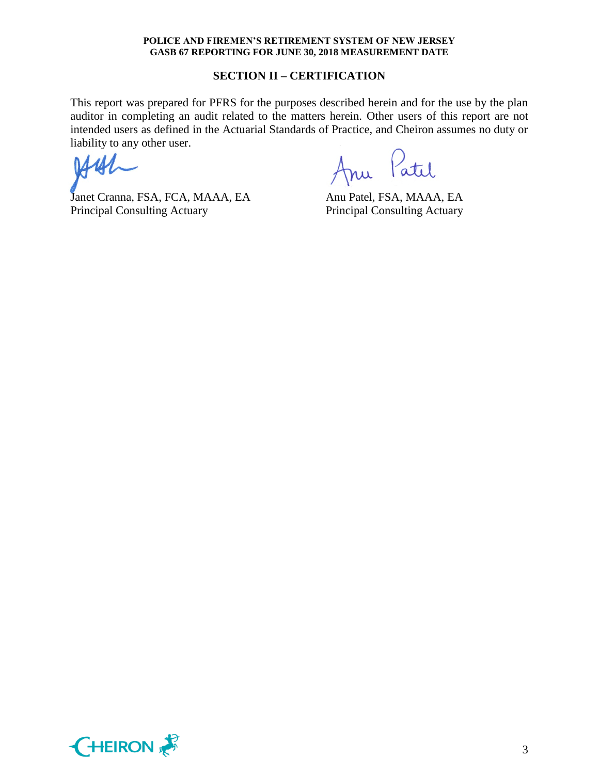### **SECTION II – CERTIFICATION**

This report was prepared for PFRS for the purposes described herein and for the use by the plan auditor in completing an audit related to the matters herein. Other users of this report are not intended users as defined in the Actuarial Standards of Practice, and Cheiron assumes no duty or liability to any other user.

Janet Cranna, FSA, FCA, MAAA, EA Anu Patel, FSA, MAAA, EA Principal Consulting Actuary Principal Consulting Actuary

Patil

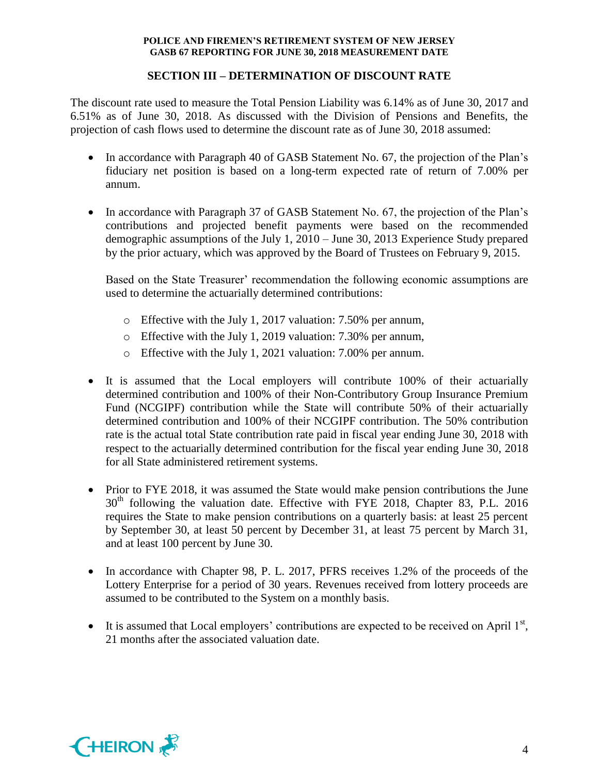# **SECTION III – DETERMINATION OF DISCOUNT RATE**

The discount rate used to measure the Total Pension Liability was 6.14% as of June 30, 2017 and 6.51% as of June 30, 2018. As discussed with the Division of Pensions and Benefits, the projection of cash flows used to determine the discount rate as of June 30, 2018 assumed:

- In accordance with Paragraph 40 of GASB Statement No. 67, the projection of the Plan's fiduciary net position is based on a long-term expected rate of return of 7.00% per annum.
- In accordance with Paragraph 37 of GASB Statement No. 67, the projection of the Plan's contributions and projected benefit payments were based on the recommended demographic assumptions of the July 1, 2010 – June 30, 2013 Experience Study prepared by the prior actuary, which was approved by the Board of Trustees on February 9, 2015.

Based on the State Treasurer' recommendation the following economic assumptions are used to determine the actuarially determined contributions:

- o Effective with the July 1, 2017 valuation: 7.50% per annum,
- o Effective with the July 1, 2019 valuation: 7.30% per annum,
- o Effective with the July 1, 2021 valuation: 7.00% per annum.
- It is assumed that the Local employers will contribute 100% of their actuarially determined contribution and 100% of their Non-Contributory Group Insurance Premium Fund (NCGIPF) contribution while the State will contribute 50% of their actuarially determined contribution and 100% of their NCGIPF contribution. The 50% contribution rate is the actual total State contribution rate paid in fiscal year ending June 30, 2018 with respect to the actuarially determined contribution for the fiscal year ending June 30, 2018 for all State administered retirement systems.
- Prior to FYE 2018, it was assumed the State would make pension contributions the June 30<sup>th</sup> following the valuation date. Effective with FYE 2018, Chapter 83, P.L. 2016 requires the State to make pension contributions on a quarterly basis: at least 25 percent by September 30, at least 50 percent by December 31, at least 75 percent by March 31, and at least 100 percent by June 30.
- In accordance with Chapter 98, P. L. 2017, PFRS receives 1.2% of the proceeds of the Lottery Enterprise for a period of 30 years. Revenues received from lottery proceeds are assumed to be contributed to the System on a monthly basis.
- $\bullet$  It is assumed that Local employers' contributions are expected to be received on April  $1<sup>st</sup>$ , 21 months after the associated valuation date.

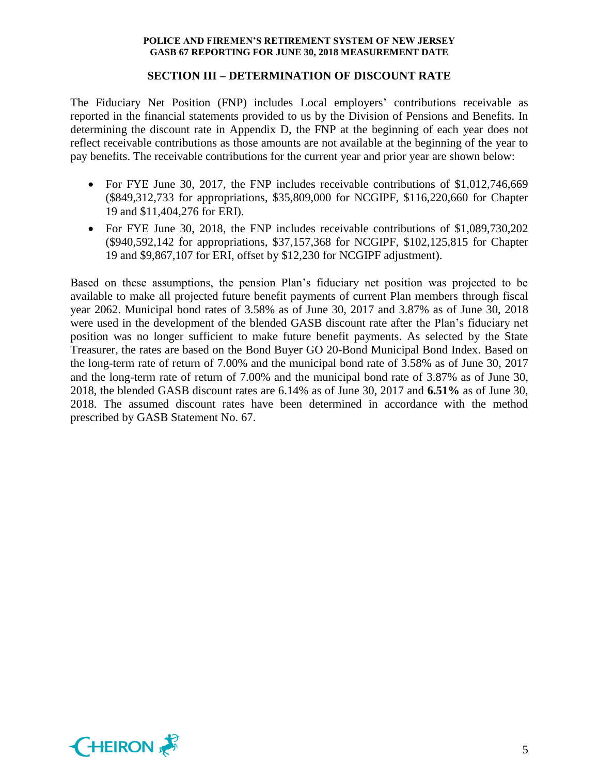### **SECTION III – DETERMINATION OF DISCOUNT RATE**

The Fiduciary Net Position (FNP) includes Local employers' contributions receivable as reported in the financial statements provided to us by the Division of Pensions and Benefits. In determining the discount rate in Appendix D, the FNP at the beginning of each year does not reflect receivable contributions as those amounts are not available at the beginning of the year to pay benefits. The receivable contributions for the current year and prior year are shown below:

- For FYE June 30, 2017, the FNP includes receivable contributions of \$1,012,746,669 (\$849,312,733 for appropriations, \$35,809,000 for NCGIPF, \$116,220,660 for Chapter 19 and \$11,404,276 for ERI).
- For FYE June 30, 2018, the FNP includes receivable contributions of \$1,089,730,202 (\$940,592,142 for appropriations, \$37,157,368 for NCGIPF, \$102,125,815 for Chapter 19 and \$9,867,107 for ERI, offset by \$12,230 for NCGIPF adjustment).

Based on these assumptions, the pension Plan's fiduciary net position was projected to be available to make all projected future benefit payments of current Plan members through fiscal year 2062. Municipal bond rates of 3.58% as of June 30, 2017 and 3.87% as of June 30, 2018 were used in the development of the blended GASB discount rate after the Plan's fiduciary net position was no longer sufficient to make future benefit payments. As selected by the State Treasurer, the rates are based on the Bond Buyer GO 20-Bond Municipal Bond Index. Based on the long-term rate of return of 7.00% and the municipal bond rate of 3.58% as of June 30, 2017 and the long-term rate of return of 7.00% and the municipal bond rate of 3.87% as of June 30, 2018, the blended GASB discount rates are 6.14% as of June 30, 2017 and **6.51%** as of June 30, 2018. The assumed discount rates have been determined in accordance with the method prescribed by GASB Statement No. 67.

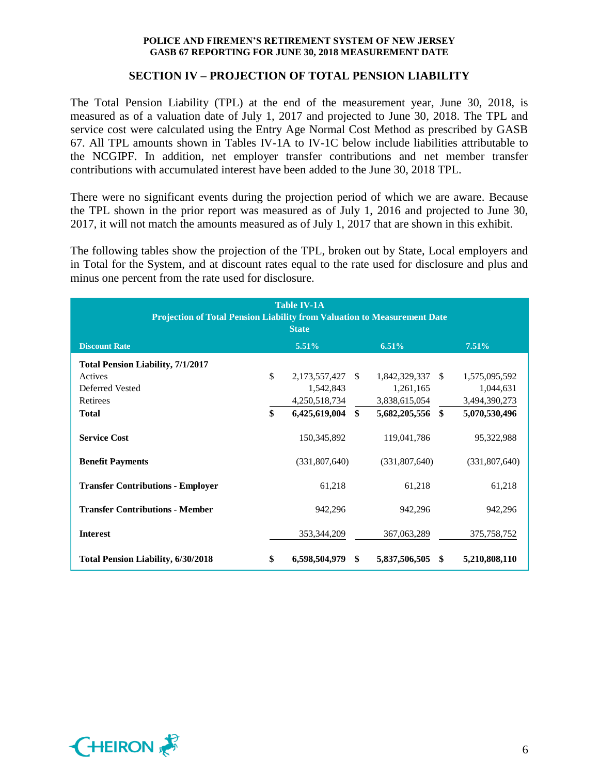### **SECTION IV – PROJECTION OF TOTAL PENSION LIABILITY**

The Total Pension Liability (TPL) at the end of the measurement year, June 30, 2018, is measured as of a valuation date of July 1, 2017 and projected to June 30, 2018. The TPL and service cost were calculated using the Entry Age Normal Cost Method as prescribed by GASB 67. All TPL amounts shown in Tables IV-1A to IV-1C below include liabilities attributable to the NCGIPF. In addition, net employer transfer contributions and net member transfer contributions with accumulated interest have been added to the June 30, 2018 TPL.

There were no significant events during the projection period of which we are aware. Because the TPL shown in the prior report was measured as of July 1, 2016 and projected to June 30, 2017, it will not match the amounts measured as of July 1, 2017 that are shown in this exhibit.

The following tables show the projection of the TPL, broken out by State, Local employers and in Total for the System, and at discount rates equal to the rate used for disclosure and plus and minus one percent from the rate used for disclosure.

| <b>Table IV-1A</b><br><b>Projection of Total Pension Liability from Valuation to Measurement Date</b><br><b>State</b> |    |                                                |              |                                                |  |                                             |  |
|-----------------------------------------------------------------------------------------------------------------------|----|------------------------------------------------|--------------|------------------------------------------------|--|---------------------------------------------|--|
| <b>Discount Rate</b>                                                                                                  |    | $5.51\%$                                       |              | 6.51%                                          |  | $7.51\%$                                    |  |
| <b>Total Pension Liability, 7/1/2017</b>                                                                              |    |                                                |              |                                                |  |                                             |  |
| Actives<br>Deferred Vested<br>Retirees                                                                                | \$ | 2,173,557,427 \$<br>1,542,843<br>4,250,518,734 |              | 1,842,329,337 \$<br>1,261,165<br>3,838,615,054 |  | 1,575,095,592<br>1,044,631<br>3,494,390,273 |  |
| <b>Total</b>                                                                                                          | \$ | 6,425,619,004                                  | $\mathbf{s}$ | 5,682,205,556 \$                               |  | 5,070,530,496                               |  |
| <b>Service Cost</b>                                                                                                   |    | 150,345,892                                    |              | 119,041,786                                    |  | 95,322,988                                  |  |
| <b>Benefit Payments</b>                                                                                               |    | (331,807,640)                                  |              | (331,807,640)                                  |  | (331,807,640)                               |  |
| <b>Transfer Contributions - Employer</b>                                                                              |    | 61,218                                         |              | 61,218                                         |  | 61,218                                      |  |
| <b>Transfer Contributions - Member</b>                                                                                |    | 942,296                                        |              | 942,296                                        |  | 942,296                                     |  |
| <b>Interest</b>                                                                                                       |    | 353, 344, 209                                  |              | 367,063,289                                    |  | 375,758,752                                 |  |
| <b>Total Pension Liability, 6/30/2018</b>                                                                             | \$ | 6,598,504,979 \$                               |              | 5,837,506,505 \$                               |  | 5,210,808,110                               |  |

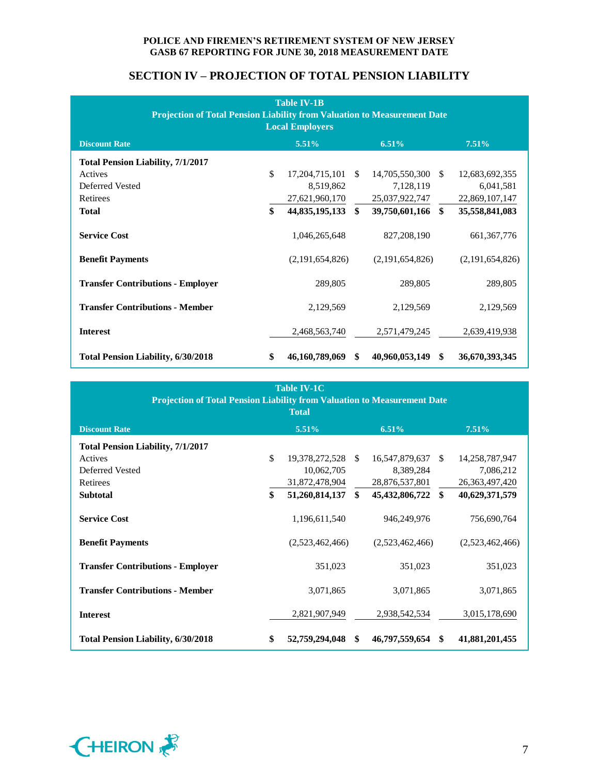# **SECTION IV – PROJECTION OF TOTAL PENSION LIABILITY**

| <b>Table IV-1B</b><br><b>Projection of Total Pension Liability from Valuation to Measurement Date</b><br><b>Local Employers</b> |    |                   |               |                 |               |                 |  |  |
|---------------------------------------------------------------------------------------------------------------------------------|----|-------------------|---------------|-----------------|---------------|-----------------|--|--|
| <b>Discount Rate</b>                                                                                                            |    | 5.51%             |               | 6.51%           |               | 7.51%           |  |  |
| <b>Total Pension Liability, 7/1/2017</b>                                                                                        |    |                   |               |                 |               |                 |  |  |
| Actives                                                                                                                         | \$ | 17, 204, 715, 101 | <sup>\$</sup> | 14,705,550,300  | <sup>\$</sup> | 12,683,692,355  |  |  |
| Deferred Vested                                                                                                                 |    | 8,519,862         |               | 7,128,119       |               | 6,041,581       |  |  |
| Retirees                                                                                                                        |    | 27,621,960,170    |               | 25,037,922,747  |               | 22,869,107,147  |  |  |
| <b>Total</b>                                                                                                                    | \$ | 44,835,195,133    | \$            | 39,750,601,166  | \$            | 35,558,841,083  |  |  |
| <b>Service Cost</b>                                                                                                             |    | 1,046,265,648     |               | 827, 208, 190   |               | 661, 367, 776   |  |  |
| <b>Benefit Payments</b>                                                                                                         |    | (2,191,654,826)   |               | (2,191,654,826) |               | (2,191,654,826) |  |  |
| <b>Transfer Contributions - Employer</b>                                                                                        |    | 289,805           |               | 289,805         |               | 289,805         |  |  |
| <b>Transfer Contributions - Member</b>                                                                                          |    | 2,129,569         |               | 2,129,569       |               | 2,129,569       |  |  |
| <b>Interest</b>                                                                                                                 |    | 2,468,563,740     |               | 2,571,479,245   |               | 2,639,419,938   |  |  |
| <b>Total Pension Liability, 6/30/2018</b>                                                                                       | \$ | 46,160,789,069    | <sup>\$</sup> | 40,960,053,149  | \$            | 36,670,393,345  |  |  |

| <b>Table IV-1C</b><br><b>Projection of Total Pension Liability from Valuation to Measurement Date</b><br><b>Total</b> |    |                   |     |                   |      |                   |  |
|-----------------------------------------------------------------------------------------------------------------------|----|-------------------|-----|-------------------|------|-------------------|--|
| <b>Discount Rate</b>                                                                                                  |    | 5.51%             |     | 6.51%             |      | 7.51%             |  |
| <b>Total Pension Liability, 7/1/2017</b>                                                                              |    |                   |     |                   |      |                   |  |
| Actives                                                                                                               | \$ | 19,378,272,528 \$ |     | 16,547,879,637 \$ |      | 14,258,787,947    |  |
| Deferred Vested                                                                                                       |    | 10,062,705        |     | 8,389,284         |      | 7,086,212         |  |
| Retirees                                                                                                              |    | 31,872,478,904    |     | 28,876,537,801    |      | 26, 363, 497, 420 |  |
| <b>Subtotal</b>                                                                                                       | \$ | 51,260,814,137    | \$  | 45,432,806,722    | - \$ | 40,629,371,579    |  |
| <b>Service Cost</b>                                                                                                   |    | 1,196,611,540     |     | 946,249,976       |      | 756,690,764       |  |
| <b>Benefit Payments</b>                                                                                               |    | (2,523,462,466)   |     | (2,523,462,466)   |      | (2,523,462,466)   |  |
| <b>Transfer Contributions - Employer</b>                                                                              |    | 351,023           |     | 351,023           |      | 351,023           |  |
| <b>Transfer Contributions - Member</b>                                                                                |    | 3,071,865         |     | 3,071,865         |      | 3,071,865         |  |
| <b>Interest</b>                                                                                                       |    | 2,821,907,949     |     | 2,938,542,534     |      | 3,015,178,690     |  |
| <b>Total Pension Liability, 6/30/2018</b>                                                                             | \$ | 52,759,294,048    | -\$ | 46,797,559,654 \$ |      | 41,881,201,455    |  |

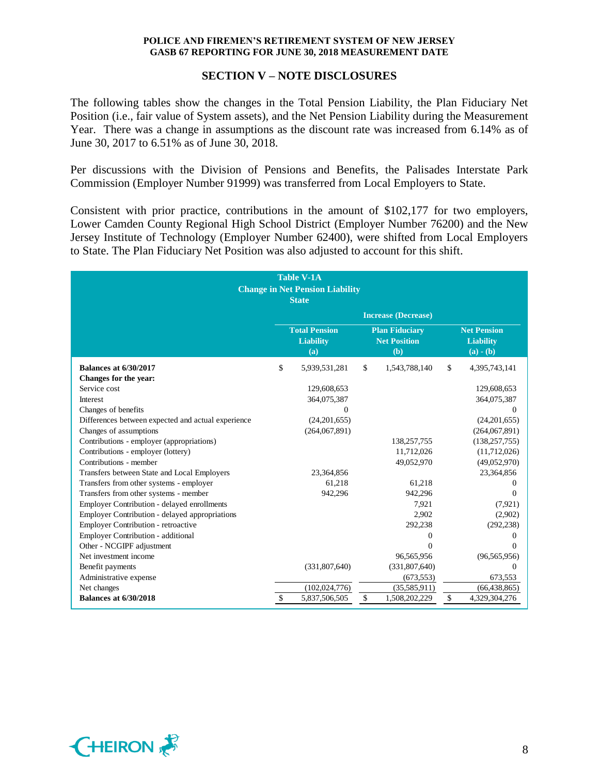### **SECTION V – NOTE DISCLOSURES**

The following tables show the changes in the Total Pension Liability, the Plan Fiduciary Net Position (i.e., fair value of System assets), and the Net Pension Liability during the Measurement Year. There was a change in assumptions as the discount rate was increased from 6.14% as of June 30, 2017 to 6.51% as of June 30, 2018.

Per discussions with the Division of Pensions and Benefits, the Palisades Interstate Park Commission (Employer Number 91999) was transferred from Local Employers to State.

Consistent with prior practice, contributions in the amount of \$102,177 for two employers, Lower Camden County Regional High School District (Employer Number 76200) and the New Jersey Institute of Technology (Employer Number 62400), were shifted from Local Employers to State. The Plan Fiduciary Net Position was also adjusted to account for this shift.

| Table V-1A<br><b>Change in Net Pension Liability</b> |    |                                                 |    |                                                     |    |                                                       |
|------------------------------------------------------|----|-------------------------------------------------|----|-----------------------------------------------------|----|-------------------------------------------------------|
|                                                      |    | <b>State</b>                                    |    |                                                     |    |                                                       |
|                                                      |    |                                                 |    | <b>Increase (Decrease)</b>                          |    |                                                       |
|                                                      |    | <b>Total Pension</b><br><b>Liability</b><br>(a) |    | <b>Plan Fiduciary</b><br><b>Net Position</b><br>(b) |    | <b>Net Pension</b><br><b>Liability</b><br>$(a) - (b)$ |
| <b>Balances at 6/30/2017</b>                         | \$ | 5,939,531,281                                   | \$ | 1,543,788,140                                       | \$ | 4,395,743,141                                         |
| Changes for the year:                                |    |                                                 |    |                                                     |    |                                                       |
| Service cost                                         |    | 129,608,653                                     |    |                                                     |    | 129,608,653                                           |
| Interest                                             |    | 364,075,387                                     |    |                                                     |    | 364,075,387                                           |
| Changes of benefits                                  |    |                                                 |    |                                                     |    | 0                                                     |
| Differences between expected and actual experience   |    | (24,201,655)                                    |    |                                                     |    | (24,201,655)                                          |
| Changes of assumptions                               |    | (264,067,891)                                   |    |                                                     |    | (264,067,891)                                         |
| Contributions - employer (appropriations)            |    |                                                 |    | 138,257,755                                         |    | (138, 257, 755)                                       |
| Contributions - employer (lottery)                   |    |                                                 |    | 11,712,026                                          |    | (11,712,026)                                          |
| Contributions - member                               |    |                                                 |    | 49,052,970                                          |    | (49,052,970)                                          |
| Transfers between State and Local Employers          |    | 23,364,856                                      |    |                                                     |    | 23,364,856                                            |
| Transfers from other systems - employer              |    | 61,218                                          |    | 61,218                                              |    | $\Omega$                                              |
| Transfers from other systems - member                |    | 942.296                                         |    | 942.296                                             |    | $\Omega$                                              |
| Employer Contribution - delayed enrollments          |    |                                                 |    | 7,921                                               |    | (7,921)                                               |
| Employer Contribution - delayed appropriations       |    |                                                 |    | 2,902                                               |    | (2,902)                                               |
| Employer Contribution - retroactive                  |    |                                                 |    | 292,238                                             |    | (292, 238)                                            |
| Employer Contribution - additional                   |    |                                                 |    | 0                                                   |    | 0                                                     |
| Other - NCGIPF adjustment                            |    |                                                 |    | $\Omega$                                            |    | $\Omega$                                              |
| Net investment income                                |    |                                                 |    | 96,565,956                                          |    | (96, 565, 956)                                        |
| Benefit payments                                     |    | (331,807,640)                                   |    | (331,807,640)                                       |    | $\Omega$                                              |
| Administrative expense                               |    |                                                 |    | (673, 553)                                          |    | 673,553                                               |
| Net changes                                          |    | (102, 024, 776)                                 |    | (35,585,911)                                        |    | (66, 438, 865)                                        |
| <b>Balances at 6/30/2018</b>                         | \$ | 5,837,506,505                                   | \$ | 1,508,202,229                                       | \$ | 4,329,304,276                                         |

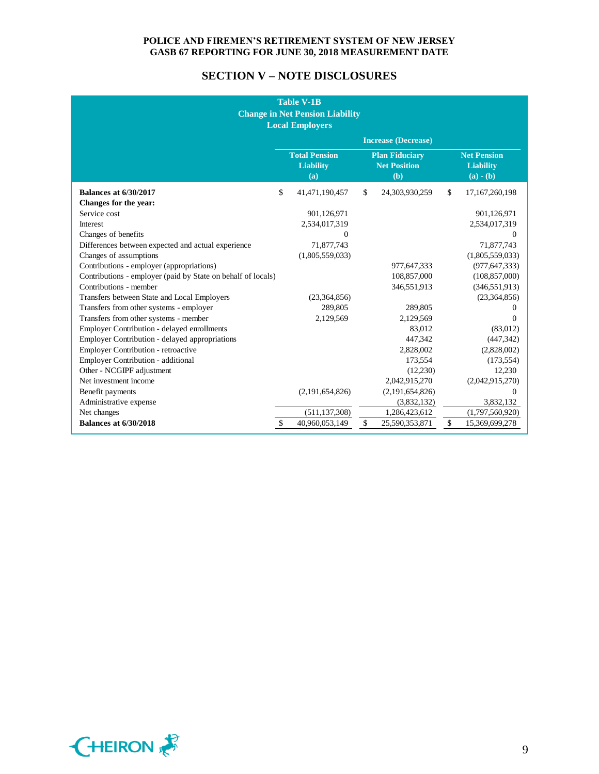# **SECTION V – NOTE DISCLOSURES**

| <b>Table V-1B</b><br><b>Change in Net Pension Liability</b><br><b>Local Employers</b> |    |                                                 |              |                                                     |    |                                                       |
|---------------------------------------------------------------------------------------|----|-------------------------------------------------|--------------|-----------------------------------------------------|----|-------------------------------------------------------|
|                                                                                       |    |                                                 |              | <b>Increase (Decrease)</b>                          |    |                                                       |
|                                                                                       |    | <b>Total Pension</b><br><b>Liability</b><br>(a) |              | <b>Plan Fiduciary</b><br><b>Net Position</b><br>(b) |    | <b>Net Pension</b><br><b>Liability</b><br>$(a) - (b)$ |
| <b>Balances at 6/30/2017</b>                                                          | \$ | 41,471,190,457                                  | \$           | 24,303,930,259                                      | \$ | 17,167,260,198                                        |
| Changes for the year:                                                                 |    |                                                 |              |                                                     |    |                                                       |
| Service cost                                                                          |    | 901,126,971                                     |              |                                                     |    | 901,126,971                                           |
| Interest                                                                              |    | 2,534,017,319                                   |              |                                                     |    | 2,534,017,319                                         |
| Changes of benefits                                                                   |    | 0                                               |              |                                                     |    | 0                                                     |
| Differences between expected and actual experience                                    |    | 71,877,743                                      |              |                                                     |    | 71,877,743                                            |
| Changes of assumptions                                                                |    | (1,805,559,033)                                 |              |                                                     |    | (1,805,559,033)                                       |
| Contributions - employer (appropriations)                                             |    |                                                 |              | 977,647,333                                         |    | (977, 647, 333)                                       |
| Contributions - employer (paid by State on behalf of locals)                          |    |                                                 |              | 108,857,000                                         |    | (108, 857, 000)                                       |
| Contributions - member                                                                |    |                                                 |              | 346,551,913                                         |    | (346, 551, 913)                                       |
| Transfers between State and Local Employers                                           |    | (23,364,856)                                    |              |                                                     |    | (23,364,856)                                          |
| Transfers from other systems - employer                                               |    | 289,805                                         |              | 289,805                                             |    | 0                                                     |
| Transfers from other systems - member                                                 |    | 2,129,569                                       |              | 2,129,569                                           |    | $\Omega$                                              |
| Employer Contribution - delayed enrollments                                           |    |                                                 |              | 83.012                                              |    | (83,012)                                              |
| Employer Contribution - delayed appropriations                                        |    |                                                 |              | 447,342                                             |    | (447, 342)                                            |
| Employer Contribution - retroactive                                                   |    |                                                 |              | 2,828,002                                           |    | (2,828,002)                                           |
| <b>Employer Contribution - additional</b>                                             |    |                                                 |              | 173,554                                             |    | (173, 554)                                            |
| Other - NCGIPF adjustment                                                             |    |                                                 |              | (12,230)                                            |    | 12,230                                                |
| Net investment income                                                                 |    |                                                 |              | 2,042,915,270                                       |    | (2,042,915,270)                                       |
| Benefit payments                                                                      |    | (2,191,654,826)                                 |              | (2,191,654,826)                                     |    | $\Omega$                                              |
| Administrative expense                                                                |    |                                                 |              | (3,832,132)                                         |    | 3,832,132                                             |
| Net changes                                                                           |    | (511, 137, 308)                                 |              | 1,286,423,612                                       |    | (1,797,560,920)                                       |
| <b>Balances at 6/30/2018</b>                                                          | \$ | 40,960,053,149                                  | $\mathbb{S}$ | 25,590,353,871                                      | \$ | 15,369,699,278                                        |

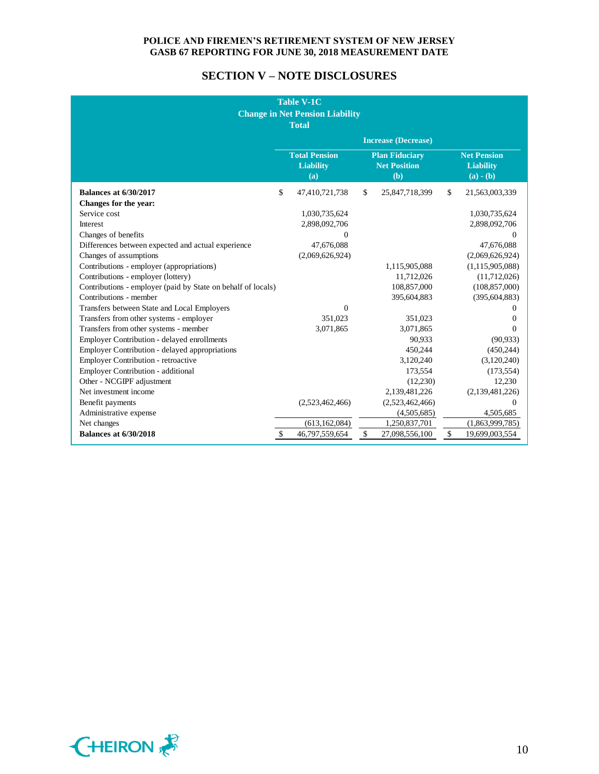# **SECTION V – NOTE DISCLOSURES**

|                                                              | <b>Table V-1C</b><br><b>Change in Net Pension Liability</b><br><b>Total</b> |                                                     |              |                                                       |
|--------------------------------------------------------------|-----------------------------------------------------------------------------|-----------------------------------------------------|--------------|-------------------------------------------------------|
|                                                              |                                                                             | <b>Increase (Decrease)</b>                          |              |                                                       |
|                                                              | <b>Total Pension</b><br><b>Liability</b><br>(a)                             | <b>Plan Fiduciary</b><br><b>Net Position</b><br>(b) |              | <b>Net Pension</b><br><b>Liability</b><br>$(a) - (b)$ |
| <b>Balances at 6/30/2017</b>                                 | \$<br>47,410,721,738                                                        | \$<br>25,847,718,399                                | $\mathbb{S}$ | 21,563,003,339                                        |
| Changes for the year:                                        |                                                                             |                                                     |              |                                                       |
| Service cost                                                 | 1,030,735,624                                                               |                                                     |              | 1,030,735,624                                         |
| Interest                                                     | 2,898,092,706                                                               |                                                     |              | 2,898,092,706                                         |
| Changes of benefits                                          | 0                                                                           |                                                     |              | $\Omega$                                              |
| Differences between expected and actual experience           | 47,676,088                                                                  |                                                     |              | 47,676,088                                            |
| Changes of assumptions                                       | (2,069,626,924)                                                             |                                                     |              | (2,069,626,924)                                       |
| Contributions - employer (appropriations)                    |                                                                             | 1,115,905,088                                       |              | (1, 115, 905, 088)                                    |
| Contributions - employer (lottery)                           |                                                                             | 11,712,026                                          |              | (11,712,026)                                          |
| Contributions - employer (paid by State on behalf of locals) |                                                                             | 108,857,000                                         |              | (108, 857, 000)                                       |
| Contributions - member                                       |                                                                             | 395,604,883                                         |              | (395, 604, 883)                                       |
| Transfers between State and Local Employers                  | $\Omega$                                                                    |                                                     |              | $\Omega$                                              |
| Transfers from other systems - employer                      | 351.023                                                                     | 351.023                                             |              | $\mathbf{0}$                                          |
| Transfers from other systems - member                        | 3,071,865                                                                   | 3,071,865                                           |              | $\Omega$                                              |
| Employer Contribution - delayed enrollments                  |                                                                             | 90.933                                              |              | (90, 933)                                             |
| Employer Contribution - delayed appropriations               |                                                                             | 450,244                                             |              | (450, 244)                                            |
| Employer Contribution - retroactive                          |                                                                             | 3,120,240                                           |              | (3,120,240)                                           |
| Employer Contribution - additional                           |                                                                             | 173.554                                             |              | (173, 554)                                            |
| Other - NCGIPF adjustment                                    |                                                                             | (12,230)                                            |              | 12,230                                                |
| Net investment income                                        |                                                                             | 2,139,481,226                                       |              | (2,139,481,226)                                       |
| Benefit payments                                             | (2,523,462,466)                                                             | (2,523,462,466)                                     |              | $\Omega$                                              |
| Administrative expense                                       |                                                                             | (4,505,685)                                         |              | 4,505,685                                             |
| Net changes                                                  | (613, 162, 084)                                                             | 1,250,837,701                                       |              | (1,863,999,785)                                       |
| <b>Balances at 6/30/2018</b>                                 | \$<br>46,797,559,654                                                        | \$<br>27,098,556,100                                | $\mathbb{S}$ | 19,699,003,554                                        |

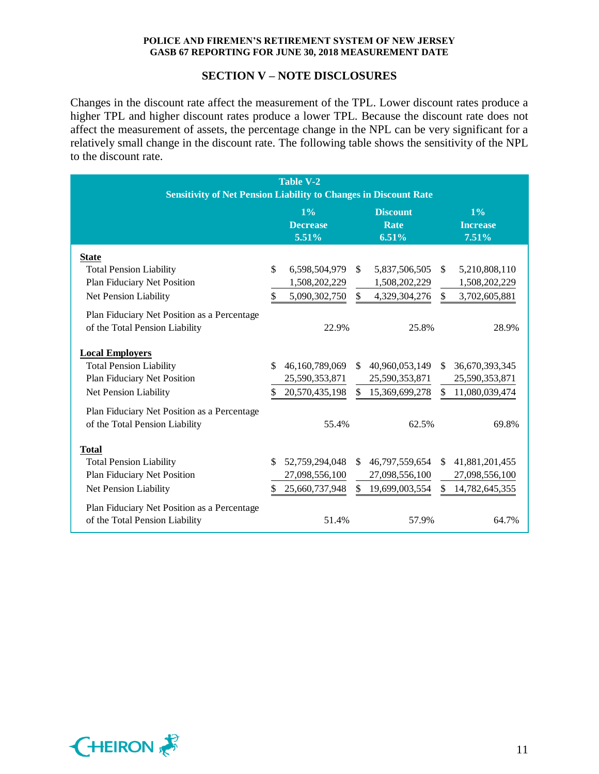### **SECTION V – NOTE DISCLOSURES**

Changes in the discount rate affect the measurement of the TPL. Lower discount rates produce a higher TPL and higher discount rates produce a lower TPL. Because the discount rate does not affect the measurement of assets, the percentage change in the NPL can be very significant for a relatively small change in the discount rate. The following table shows the sensitivity of the NPL to the discount rate.

| <b>Table V-2</b>                                                        |               |                 |              |                 |               |                 |
|-------------------------------------------------------------------------|---------------|-----------------|--------------|-----------------|---------------|-----------------|
| <b>Sensitivity of Net Pension Liability to Changes in Discount Rate</b> |               |                 |              |                 |               |                 |
|                                                                         |               | $1\%$           |              | <b>Discount</b> | $1\%$         |                 |
|                                                                         |               | <b>Decrease</b> |              | Rate            |               | <b>Increase</b> |
|                                                                         |               | 5.51%           |              | 6.51%           |               | 7.51%           |
| <b>State</b>                                                            |               |                 |              |                 |               |                 |
| <b>Total Pension Liability</b>                                          | $\mathcal{S}$ | 6,598,504,979   | \$           | 5,837,506,505   | <sup>\$</sup> | 5,210,808,110   |
| Plan Fiduciary Net Position                                             |               | 1,508,202,229   |              | 1,508,202,229   |               | 1,508,202,229   |
| Net Pension Liability                                                   | \$            | 5,090,302,750   | \$           | 4,329,304,276   | \$            | 3,702,605,881   |
| Plan Fiduciary Net Position as a Percentage                             |               |                 |              |                 |               |                 |
| of the Total Pension Liability                                          |               | 22.9%           |              | 25.8%           |               | 28.9%           |
|                                                                         |               |                 |              |                 |               |                 |
| <b>Local Employers</b>                                                  |               |                 |              |                 |               |                 |
| <b>Total Pension Liability</b>                                          | \$.           | 46,160,789,069  | \$           | 40,960,053,149  | \$.           | 36,670,393,345  |
| Plan Fiduciary Net Position                                             |               | 25,590,353,871  |              | 25,590,353,871  |               | 25,590,353,871  |
| Net Pension Liability                                                   | \$.           | 20,570,435,198  | \$           | 15,369,699,278  | \$            | 11,080,039,474  |
| Plan Fiduciary Net Position as a Percentage                             |               |                 |              |                 |               |                 |
| of the Total Pension Liability                                          |               | 55.4%           |              | 62.5%           |               | 69.8%           |
|                                                                         |               |                 |              |                 |               |                 |
| <b>Total</b>                                                            |               |                 |              |                 |               |                 |
| <b>Total Pension Liability</b>                                          | \$            | 52,759,294,048  | $\mathbb{S}$ | 46,797,559,654  | $\mathbb{S}$  | 41,881,201,455  |
| Plan Fiduciary Net Position                                             |               | 27,098,556,100  |              | 27,098,556,100  |               | 27,098,556,100  |
| Net Pension Liability                                                   | S.            | 25,660,737,948  | \$.          | 19,699,003,554  | \$.           | 14,782,645,355  |
| Plan Fiduciary Net Position as a Percentage                             |               |                 |              |                 |               |                 |
| of the Total Pension Liability                                          |               | 51.4%           |              | 57.9%           |               | 64.7%           |
|                                                                         |               |                 |              |                 |               |                 |

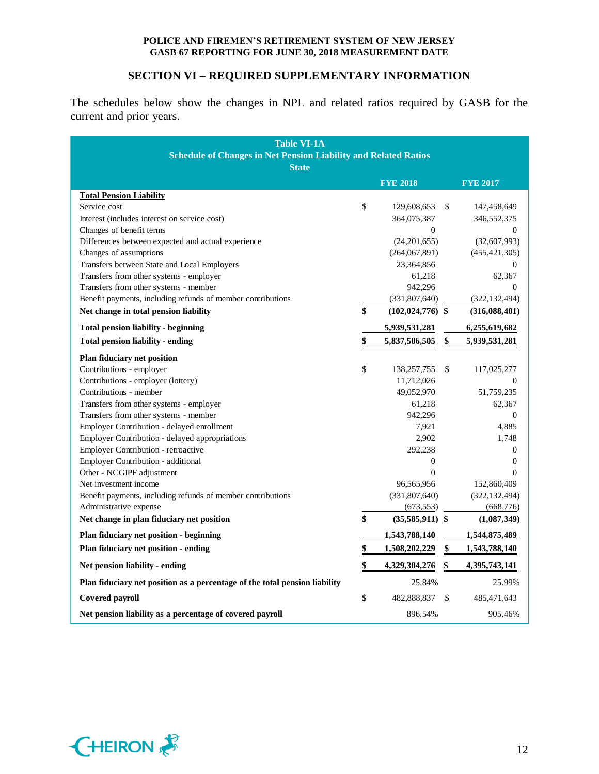# **SECTION VI – REQUIRED SUPPLEMENTARY INFORMATION**

The schedules below show the changes in NPL and related ratios required by GASB for the current and prior years.

| <b>Table VI-1A</b><br><b>Schedule of Changes in Net Pension Liability and Related Ratios</b><br><b>State</b> |    |                      |    |                  |  |
|--------------------------------------------------------------------------------------------------------------|----|----------------------|----|------------------|--|
|                                                                                                              |    | <b>FYE 2018</b>      |    | <b>FYE 2017</b>  |  |
| <b>Total Pension Liability</b>                                                                               |    |                      |    |                  |  |
| Service cost                                                                                                 | \$ | 129,608,653          | \$ | 147,458,649      |  |
| Interest (includes interest on service cost)                                                                 |    | 364,075,387          |    | 346,552,375      |  |
| Changes of benefit terms                                                                                     |    | $\overline{0}$       |    | $\mathbf{0}$     |  |
| Differences between expected and actual experience                                                           |    | (24, 201, 655)       |    | (32,607,993)     |  |
| Changes of assumptions                                                                                       |    | (264,067,891)        |    | (455, 421, 305)  |  |
| Transfers between State and Local Employers                                                                  |    | 23,364,856           |    | 0                |  |
| Transfers from other systems - employer                                                                      |    | 61,218               |    | 62,367           |  |
| Transfers from other systems - member                                                                        |    | 942,296              |    | $\Omega$         |  |
| Benefit payments, including refunds of member contributions                                                  |    | (331,807,640)        |    | (322, 132, 494)  |  |
| Net change in total pension liability                                                                        | \$ | $(102, 024, 776)$ \$ |    | (316,088,401)    |  |
| <b>Total pension liability - beginning</b>                                                                   |    | 5,939,531,281        |    | 6,255,619,682    |  |
| Total pension liability - ending                                                                             | \$ | 5,837,506,505        | \$ | 5,939,531,281    |  |
| <b>Plan fiduciary net position</b>                                                                           |    |                      |    |                  |  |
| Contributions - employer                                                                                     | \$ | 138,257,755          | \$ | 117,025,277      |  |
| Contributions - employer (lottery)                                                                           |    | 11,712,026           |    | $\boldsymbol{0}$ |  |
| Contributions - member                                                                                       |    | 49,052,970           |    | 51,759,235       |  |
| Transfers from other systems - employer                                                                      |    | 61,218               |    | 62,367           |  |
| Transfers from other systems - member                                                                        |    | 942,296              |    | $\mathbf{0}$     |  |
| Employer Contribution - delayed enrollment                                                                   |    | 7,921                |    | 4,885            |  |
| Employer Contribution - delayed appropriations                                                               |    | 2,902                |    | 1,748            |  |
| Employer Contribution - retroactive                                                                          |    | 292,238              |    | $\mathbf{0}$     |  |
| Employer Contribution - additional                                                                           |    | $\mathbf{0}$         |    | $\mathbf{0}$     |  |
| Other - NCGIPF adjustment                                                                                    |    | $\Omega$             |    | $\Omega$         |  |
| Net investment income                                                                                        |    | 96,565,956           |    | 152,860,409      |  |
| Benefit payments, including refunds of member contributions                                                  |    | (331, 807, 640)      |    | (322, 132, 494)  |  |
| Administrative expense                                                                                       |    | (673, 553)           |    | (668, 776)       |  |
| Net change in plan fiduciary net position                                                                    | \$ | $(35,585,911)$ \$    |    | (1,087,349)      |  |
| Plan fiduciary net position - beginning                                                                      |    | 1,543,788,140        |    | 1,544,875,489    |  |
| Plan fiduciary net position - ending                                                                         | \$ | 1,508,202,229        | \$ | 1,543,788,140    |  |
| Net pension liability - ending                                                                               | \$ | 4,329,304,276        | \$ | 4,395,743,141    |  |
| Plan fiduciary net position as a percentage of the total pension liability                                   |    | 25.84%               |    | 25.99%           |  |
| Covered payroll                                                                                              | \$ | 482,888,837          | \$ | 485, 471, 643    |  |
| Net pension liability as a percentage of covered payroll                                                     |    | 896.54%              |    | 905.46%          |  |

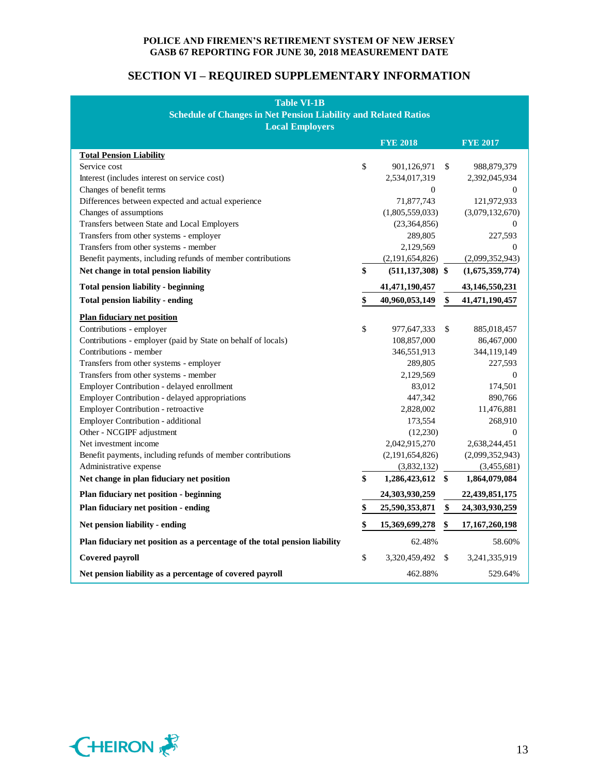# **SECTION VI – REQUIRED SUPPLEMENTARY INFORMATION**

| <b>Table VI-1B</b>                                                         |    |                      |    |                   |  |  |  |
|----------------------------------------------------------------------------|----|----------------------|----|-------------------|--|--|--|
| <b>Schedule of Changes in Net Pension Liability and Related Ratios</b>     |    |                      |    |                   |  |  |  |
| <b>Local Employers</b>                                                     |    |                      |    |                   |  |  |  |
|                                                                            |    | <b>FYE 2018</b>      |    | <b>FYE 2017</b>   |  |  |  |
| <b>Total Pension Liability</b>                                             |    |                      |    |                   |  |  |  |
| Service cost                                                               | \$ | 901,126,971          | \$ | 988,879,379       |  |  |  |
| Interest (includes interest on service cost)                               |    | 2,534,017,319        |    | 2,392,045,934     |  |  |  |
| Changes of benefit terms                                                   |    | $\boldsymbol{0}$     |    | 0                 |  |  |  |
| Differences between expected and actual experience                         |    | 71,877,743           |    | 121,972,933       |  |  |  |
| Changes of assumptions                                                     |    | (1,805,559,033)      |    | (3,079,132,670)   |  |  |  |
| Transfers between State and Local Employers                                |    | (23,364,856)         |    | 0                 |  |  |  |
| Transfers from other systems - employer                                    |    | 289,805              |    | 227,593           |  |  |  |
| Transfers from other systems - member                                      |    | 2,129,569            |    | 0                 |  |  |  |
| Benefit payments, including refunds of member contributions                |    | (2,191,654,826)      |    | (2,099,352,943)   |  |  |  |
| Net change in total pension liability                                      | \$ | $(511, 137, 308)$ \$ |    | (1,675,359,774)   |  |  |  |
| <b>Total pension liability - beginning</b>                                 |    | 41,471,190,457       |    | 43,146,550,231    |  |  |  |
| <b>Total pension liability - ending</b>                                    | \$ | 40,960,053,149       | \$ | 41, 471, 190, 457 |  |  |  |
| <b>Plan fiduciary net position</b>                                         |    |                      |    |                   |  |  |  |
| Contributions - employer                                                   | \$ | 977,647,333          | \$ | 885,018,457       |  |  |  |
| Contributions - employer (paid by State on behalf of locals)               |    | 108,857,000          |    | 86,467,000        |  |  |  |
| Contributions - member                                                     |    | 346,551,913          |    | 344,119,149       |  |  |  |
| Transfers from other systems - employer                                    |    | 289,805              |    | 227,593           |  |  |  |
| Transfers from other systems - member                                      |    | 2,129,569            |    | 0                 |  |  |  |
| Employer Contribution - delayed enrollment                                 |    | 83,012               |    | 174,501           |  |  |  |
| Employer Contribution - delayed appropriations                             |    | 447,342              |    | 890,766           |  |  |  |
| Employer Contribution - retroactive                                        |    | 2,828,002            |    | 11,476,881        |  |  |  |
| Employer Contribution - additional                                         |    | 173,554              |    | 268,910           |  |  |  |
| Other - NCGIPF adjustment                                                  |    | (12,230)             |    | 0                 |  |  |  |
| Net investment income                                                      |    | 2,042,915,270        |    | 2,638,244,451     |  |  |  |
| Benefit payments, including refunds of member contributions                |    | (2,191,654,826)      |    | (2,099,352,943)   |  |  |  |
| Administrative expense                                                     |    | (3,832,132)          |    | (3,455,681)       |  |  |  |
| Net change in plan fiduciary net position                                  | \$ | 1,286,423,612 \$     |    | 1,864,079,084     |  |  |  |
| Plan fiduciary net position - beginning                                    |    | 24,303,930,259       |    | 22,439,851,175    |  |  |  |
| Plan fiduciary net position - ending                                       | \$ | 25,590,353,871       | \$ | 24,303,930,259    |  |  |  |
| Net pension liability - ending                                             | \$ | 15,369,699,278       | \$ | 17, 167, 260, 198 |  |  |  |
| Plan fiduciary net position as a percentage of the total pension liability |    | 62.48%               |    | 58.60%            |  |  |  |
| <b>Covered payroll</b>                                                     | \$ | 3,320,459,492        | \$ | 3,241,335,919     |  |  |  |
| Net pension liability as a percentage of covered payroll                   |    | 462.88%              |    | 529.64%           |  |  |  |

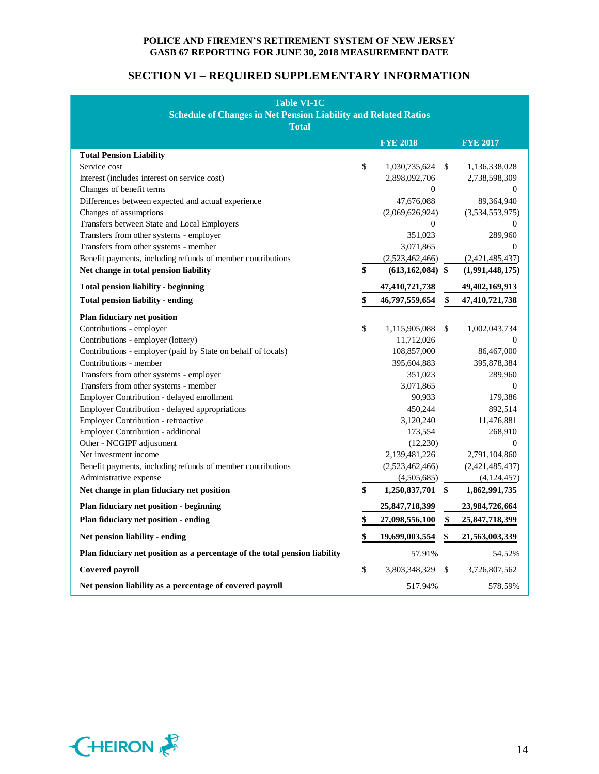# **SECTION VI – REQUIRED SUPPLEMENTARY INFORMATION**

| <b>Table VI-1C</b>                                                         |    |                      |    |                  |  |  |  |
|----------------------------------------------------------------------------|----|----------------------|----|------------------|--|--|--|
| <b>Schedule of Changes in Net Pension Liability and Related Ratios</b>     |    |                      |    |                  |  |  |  |
| <b>Total</b>                                                               |    |                      |    |                  |  |  |  |
|                                                                            |    | <b>FYE 2018</b>      |    | <b>FYE 2017</b>  |  |  |  |
| <b>Total Pension Liability</b>                                             |    |                      |    |                  |  |  |  |
| Service cost                                                               | \$ | 1,030,735,624 \$     |    | 1,136,338,028    |  |  |  |
| Interest (includes interest on service cost)                               |    | 2,898,092,706        |    | 2,738,598,309    |  |  |  |
| Changes of benefit terms                                                   |    | $\boldsymbol{0}$     |    | $\theta$         |  |  |  |
| Differences between expected and actual experience                         |    | 47,676,088           |    | 89,364,940       |  |  |  |
| Changes of assumptions                                                     |    | (2,069,626,924)      |    | (3,534,553,975)  |  |  |  |
| Transfers between State and Local Employers                                |    | $\mathbf{0}$         |    | 0                |  |  |  |
| Transfers from other systems - employer                                    |    | 351,023              |    | 289,960          |  |  |  |
| Transfers from other systems - member                                      |    | 3,071,865            |    | $\boldsymbol{0}$ |  |  |  |
| Benefit payments, including refunds of member contributions                |    | (2,523,462,466)      |    | (2,421,485,437)  |  |  |  |
| Net change in total pension liability                                      | \$ | $(613, 162, 084)$ \$ |    | (1,991,448,175)  |  |  |  |
| <b>Total pension liability - beginning</b>                                 |    | 47,410,721,738       |    | 49,402,169,913   |  |  |  |
| <b>Total pension liability - ending</b>                                    | \$ | 46,797,559,654       | \$ | 47,410,721,738   |  |  |  |
| <b>Plan fiduciary net position</b>                                         |    |                      |    |                  |  |  |  |
| Contributions - employer                                                   | \$ | 1,115,905,088        | \$ | 1,002,043,734    |  |  |  |
| Contributions - employer (lottery)                                         |    | 11,712,026           |    | 0                |  |  |  |
| Contributions - employer (paid by State on behalf of locals)               |    | 108,857,000          |    | 86,467,000       |  |  |  |
| Contributions - member                                                     |    | 395,604,883          |    | 395,878,384      |  |  |  |
| Transfers from other systems - employer                                    |    | 351,023              |    | 289,960          |  |  |  |
| Transfers from other systems - member                                      |    | 3,071,865            |    | $\overline{0}$   |  |  |  |
| Employer Contribution - delayed enrollment                                 |    | 90,933               |    | 179,386          |  |  |  |
| Employer Contribution - delayed appropriations                             |    | 450,244              |    | 892,514          |  |  |  |
| <b>Employer Contribution - retroactive</b>                                 |    | 3,120,240            |    | 11,476,881       |  |  |  |
| Employer Contribution - additional                                         |    | 173,554              |    | 268,910          |  |  |  |
| Other - NCGIPF adjustment                                                  |    | (12,230)             |    | $\overline{0}$   |  |  |  |
| Net investment income                                                      |    | 2,139,481,226        |    | 2,791,104,860    |  |  |  |
| Benefit payments, including refunds of member contributions                |    | (2,523,462,466)      |    | (2,421,485,437)  |  |  |  |
| Administrative expense                                                     |    | (4,505,685)          |    | (4,124,457)      |  |  |  |
| Net change in plan fiduciary net position                                  | \$ | 1,250,837,701 \$     |    | 1,862,991,735    |  |  |  |
| Plan fiduciary net position - beginning                                    |    | 25,847,718,399       |    | 23,984,726,664   |  |  |  |
| Plan fiduciary net position - ending                                       | \$ | 27,098,556,100       | \$ | 25,847,718,399   |  |  |  |
| Net pension liability - ending                                             | \$ | 19,699,003,554       | \$ | 21,563,003,339   |  |  |  |
| Plan fiduciary net position as a percentage of the total pension liability |    | 57.91%               |    | 54.52%           |  |  |  |
| Covered payroll                                                            | \$ | 3,803,348,329        | \$ | 3,726,807,562    |  |  |  |
| Net pension liability as a percentage of covered payroll                   |    | 517.94%              |    | 578.59%          |  |  |  |

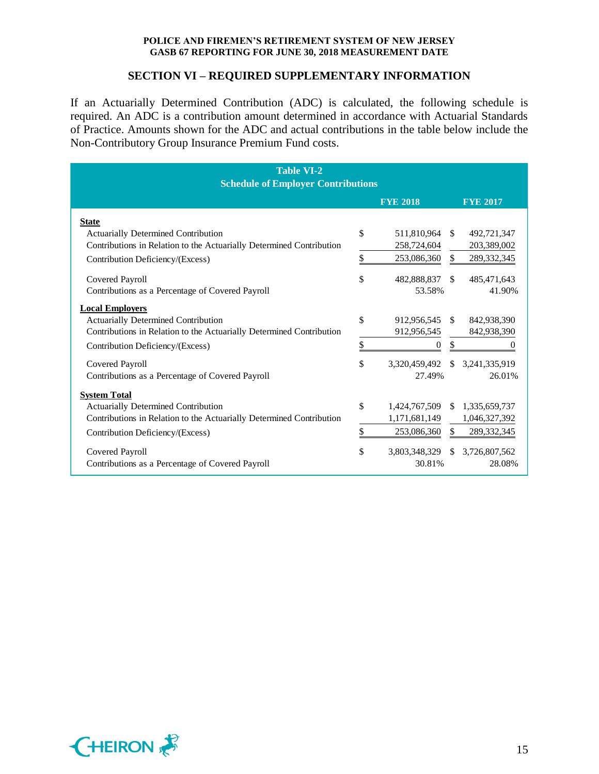### **SECTION VI – REQUIRED SUPPLEMENTARY INFORMATION**

If an Actuarially Determined Contribution (ADC) is calculated, the following schedule is required. An ADC is a contribution amount determined in accordance with Actuarial Standards of Practice. Amounts shown for the ADC and actual contributions in the table below include the Non-Contributory Group Insurance Premium Fund costs.

| <b>Table VI-2</b>                                                    |    |                  |               |                 |  |  |  |  |  |
|----------------------------------------------------------------------|----|------------------|---------------|-----------------|--|--|--|--|--|
| <b>Schedule of Employer Contributions</b>                            |    |                  |               |                 |  |  |  |  |  |
|                                                                      |    | <b>FYE 2018</b>  |               | <b>FYE 2017</b> |  |  |  |  |  |
| <b>State</b>                                                         |    |                  |               |                 |  |  |  |  |  |
| <b>Actuarially Determined Contribution</b>                           | \$ | 511,810,964      | <sup>\$</sup> | 492,721,347     |  |  |  |  |  |
| Contributions in Relation to the Actuarially Determined Contribution |    | 258,724,604      |               | 203,389,002     |  |  |  |  |  |
| Contribution Deficiency/(Excess)                                     | \$ | 253,086,360      | \$            | 289,332,345     |  |  |  |  |  |
| Covered Payroll                                                      | \$ | 482,888,837      | <sup>\$</sup> | 485,471,643     |  |  |  |  |  |
| Contributions as a Percentage of Covered Payroll                     |    | 53.58%           |               | 41.90%          |  |  |  |  |  |
| <b>Local Employers</b>                                               |    |                  |               |                 |  |  |  |  |  |
| <b>Actuarially Determined Contribution</b>                           | \$ | 912,956,545      | <sup>\$</sup> | 842,938,390     |  |  |  |  |  |
| Contributions in Relation to the Actuarially Determined Contribution |    | 912,956,545      |               | 842,938,390     |  |  |  |  |  |
| Contribution Deficiency/(Excess)                                     | \$ | $\boldsymbol{0}$ | \$            | $\mathbf{0}$    |  |  |  |  |  |
| Covered Payroll                                                      | \$ | 3,320,459,492    | $\mathcal{S}$ | 3,241,335,919   |  |  |  |  |  |
| Contributions as a Percentage of Covered Payroll                     |    | 27.49%           |               | 26.01%          |  |  |  |  |  |
| <b>System Total</b>                                                  |    |                  |               |                 |  |  |  |  |  |
| <b>Actuarially Determined Contribution</b>                           | \$ | 1,424,767,509    | S.            | 1,335,659,737   |  |  |  |  |  |
| Contributions in Relation to the Actuarially Determined Contribution |    | 1,171,681,149    |               | 1,046,327,392   |  |  |  |  |  |
| Contribution Deficiency/(Excess)                                     | \$ | 253,086,360      | \$            | 289,332,345     |  |  |  |  |  |
| Covered Payroll                                                      | \$ | 3,803,348,329    | <sup>\$</sup> | 3,726,807,562   |  |  |  |  |  |
| Contributions as a Percentage of Covered Payroll                     |    | 30.81%           |               | 28.08%          |  |  |  |  |  |

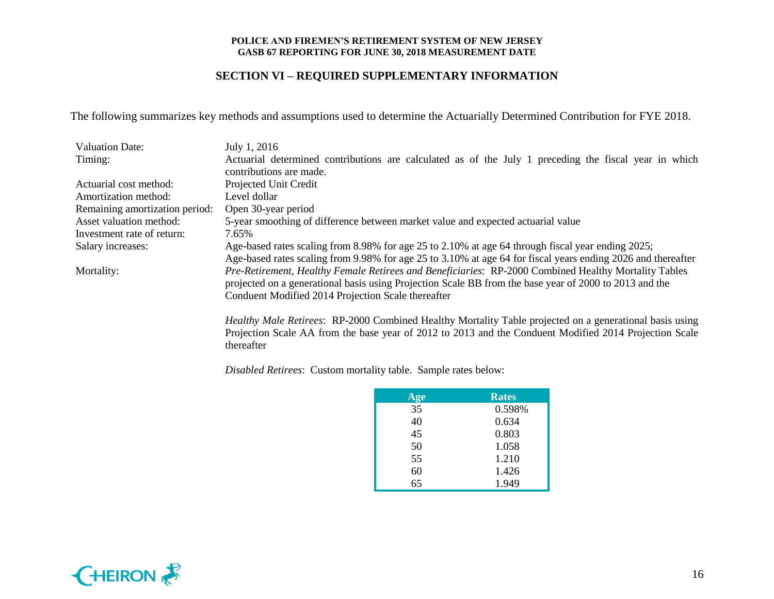### **SECTION VI – REQUIRED SUPPLEMENTARY INFORMATION**

The following summarizes key methods and assumptions used to determine the Actuarially Determined Contribution for FYE 2018.

| <b>Valuation Date:</b>         | July 1, 2016                                                                                                 |
|--------------------------------|--------------------------------------------------------------------------------------------------------------|
| Timing:                        | Actuarial determined contributions are calculated as of the July 1 preceding the fiscal year in which        |
|                                | contributions are made.                                                                                      |
| Actuarial cost method:         | Projected Unit Credit                                                                                        |
| Amortization method:           | Level dollar                                                                                                 |
| Remaining amortization period: | Open 30-year period                                                                                          |
| Asset valuation method:        | 5-year smoothing of difference between market value and expected actuarial value                             |
| Investment rate of return:     | 7.65%                                                                                                        |
| Salary increases:              | Age-based rates scaling from 8.98% for age 25 to 2.10% at age 64 through fiscal year ending 2025;            |
|                                | Age-based rates scaling from 9.98% for age 25 to 3.10% at age 64 for fiscal years ending 2026 and thereafter |
| Mortality:                     | Pre-Retirement, Healthy Female Retirees and Beneficiaries: RP-2000 Combined Healthy Mortality Tables         |
|                                | projected on a generational basis using Projection Scale BB from the base year of 2000 to 2013 and the       |
|                                | Conduent Modified 2014 Projection Scale thereafter                                                           |
|                                |                                                                                                              |

*Healthy Male Retirees*: RP-2000 Combined Healthy Mortality Table projected on a generational basis using Projection Scale AA from the base year of 2012 to 2013 and the Conduent Modified 2014 Projection Scale thereafter

*Disabled Retirees*: Custom mortality table. Sample rates below:

| $\overline{Age}$ | <b>Rates</b> |
|------------------|--------------|
| 35               | 0.598%       |
| 40               | 0.634        |
| 45               | 0.803        |
| 50               | 1.058        |
| 55               | 1.210        |
| 60               | 1.426        |
| 65               | 1.949        |

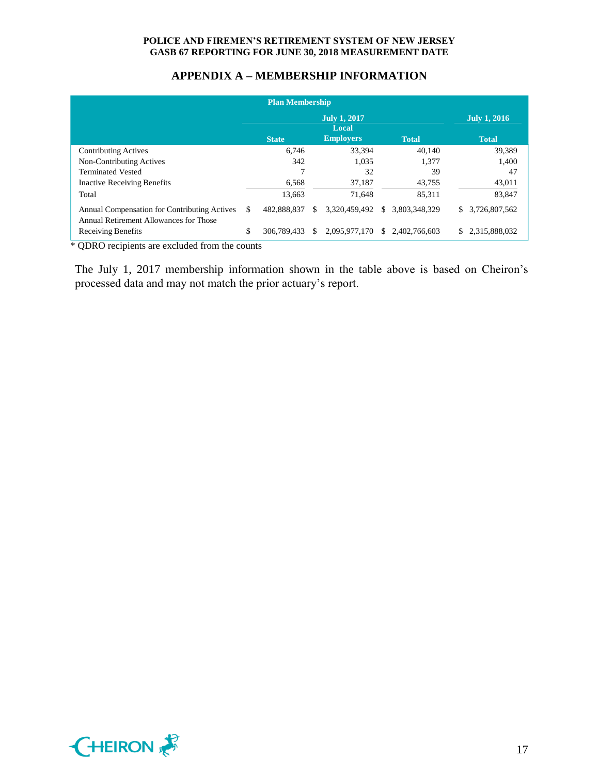# **APPENDIX A – MEMBERSHIP INFORMATION**

|                                                                                        |    | <b>Plan Membership</b> |    |                              |     |                                |                     |
|----------------------------------------------------------------------------------------|----|------------------------|----|------------------------------|-----|--------------------------------|---------------------|
|                                                                                        |    |                        |    | <b>July 1, 2017</b><br>Local |     |                                | <b>July 1, 2016</b> |
|                                                                                        |    | <b>State</b>           |    | <b>Employers</b>             |     | <b>Total</b>                   | <b>Total</b>        |
| <b>Contributing Actives</b>                                                            |    | 6.746                  |    | 33.394                       |     | 40.140                         | 39,389              |
| Non-Contributing Actives                                                               |    | 342                    |    | 1.035                        |     | 1.377                          | 1,400               |
| <b>Terminated Vested</b>                                                               |    |                        |    | 32                           |     | 39                             | 47                  |
| <b>Inactive Receiving Benefits</b>                                                     |    | 6,568                  |    | 37,187                       |     | 43,755                         | 43,011              |
| Total                                                                                  |    | 13,663                 |    | 71.648                       |     | 85,311                         | 83,847              |
| Annual Compensation for Contributing Actives<br>Annual Retirement Allowances for Those | S  | 482,888,837            | S  | 3,320,459,492                | \$. | 3.803.348.329                  | \$<br>3,726,807,562 |
| Receiving Benefits                                                                     | \$ | 306,789,433            | S. |                              |     | 2.095.977.170 \$ 2.402.766.603 | \$<br>2,315,888,032 |

\* QDRO recipients are excluded from the counts

The July 1, 2017 membership information shown in the table above is based on Cheiron's processed data and may not match the prior actuary's report.

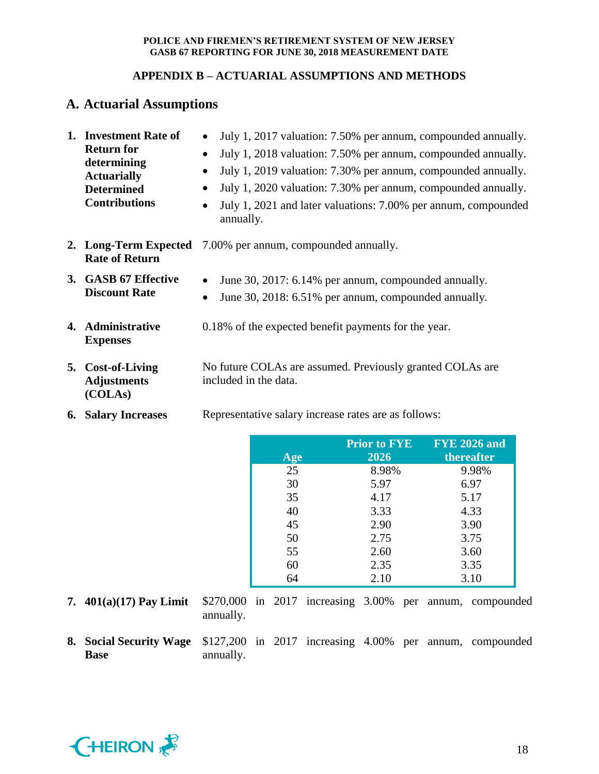# **APPENDIX B – ACTUARIAL ASSUMPTIONS AND METHODS**

# **A. Actuarial Assumptions**

| 1. | <b>Investment Rate of</b><br><b>Return for</b><br>determining<br><b>Actuarially</b><br><b>Determined</b><br><b>Contributions</b> | July 1, 2017 valuation: 7.50% per annum, compounded annually.<br>July 1, 2018 valuation: 7.50% per annum, compounded annually.<br>$\bullet$<br>July 1, 2019 valuation: 7.30% per annum, compounded annually.<br>$\bullet$<br>July 1, 2020 valuation: 7.30% per annum, compounded annually.<br>$\bullet$<br>July 1, 2021 and later valuations: 7.00% per annum, compounded<br>$\bullet$<br>annually. |
|----|----------------------------------------------------------------------------------------------------------------------------------|-----------------------------------------------------------------------------------------------------------------------------------------------------------------------------------------------------------------------------------------------------------------------------------------------------------------------------------------------------------------------------------------------------|
|    | 2. Long-Term Expected<br><b>Rate of Return</b>                                                                                   | 7.00% per annum, compounded annually.                                                                                                                                                                                                                                                                                                                                                               |
|    | 3. GASB 67 Effective<br><b>Discount Rate</b>                                                                                     | June 30, 2017: 6.14% per annum, compounded annually.<br>$\bullet$<br>June 30, 2018: 6.51% per annum, compounded annually.<br>$\bullet$                                                                                                                                                                                                                                                              |
|    | 4. Administrative<br><b>Expenses</b>                                                                                             | 0.18% of the expected benefit payments for the year.                                                                                                                                                                                                                                                                                                                                                |
|    | 5. Cost-of-Living<br><b>Adjustments</b>                                                                                          | No future COLAs are assumed. Previously granted COLAs are<br>included in the data.                                                                                                                                                                                                                                                                                                                  |

**6. Salary Increases** Representative salary increase rates are as follows:

| Age | <b>Prior to FYE</b><br>2026 | <b>FYE 2026 and</b><br>thereafter |
|-----|-----------------------------|-----------------------------------|
| 25  | 8.98%                       | 9.98%                             |
| 30  | 5.97                        | 6.97                              |
| 35  | 4.17                        | 5.17                              |
| 40  | 3.33                        | 4.33                              |
| 45  | 2.90                        | 3.90                              |
| 50  | 2.75                        | 3.75                              |
| 55  | 2.60                        | 3.60                              |
| 60  | 2.35                        | 3.35                              |
| 64  | 2.10                        | 3.10                              |

**(COLAs)**

- **7. 401(a)(17) Pay Limit** \$270,000 in 2017 increasing 3.00% per annum, compounded annually.
- **8. Social Security Wage Base** \$127,200 in 2017 increasing 4.00% per annum, compounded annually.

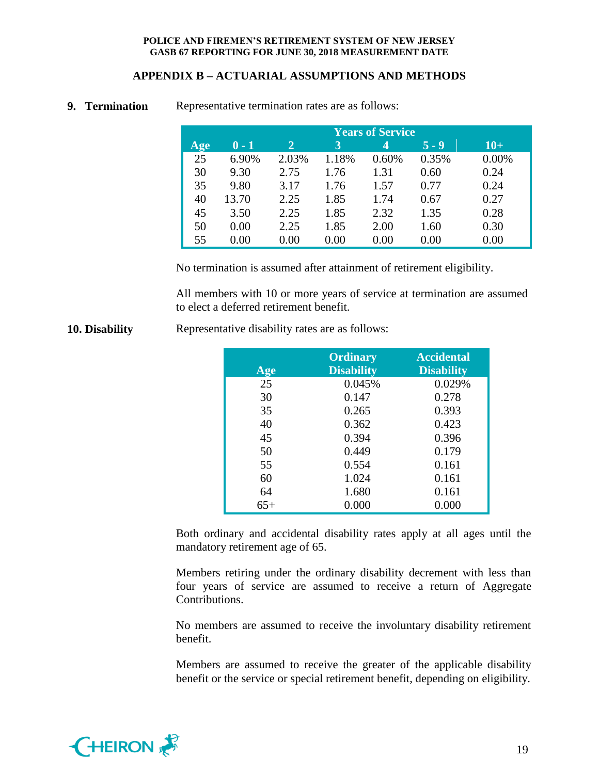# **APPENDIX B – ACTUARIAL ASSUMPTIONS AND METHODS**

|     | <b>Years of Service</b> |              |       |       |         |       |  |  |  |
|-----|-------------------------|--------------|-------|-------|---------|-------|--|--|--|
| Age | $0 - 1$                 | $\mathbf{2}$ | 3     | 4     | $5 - 9$ | $10+$ |  |  |  |
| 25  | 6.90%                   | 2.03%        | 1.18% | 0.60% | 0.35%   | 0.00% |  |  |  |
| 30  | 9.30                    | 2.75         | 1.76  | 1.31  | 0.60    | 0.24  |  |  |  |
| 35  | 9.80                    | 3.17         | 1.76  | 1.57  | 0.77    | 0.24  |  |  |  |
| 40  | 13.70                   | 2.25         | 1.85  | 1.74  | 0.67    | 0.27  |  |  |  |
| 45  | 3.50                    | 2.25         | 1.85  | 2.32  | 1.35    | 0.28  |  |  |  |
| 50  | 0.00                    | 2.25         | 1.85  | 2.00  | 1.60    | 0.30  |  |  |  |
| 55  | 0.00                    | 0.00         | 0.00  | 0.00  | 0.00    | 0.00  |  |  |  |

### **9. Termination** Representative termination rates are as follows:

No termination is assumed after attainment of retirement eligibility.

All members with 10 or more years of service at termination are assumed to elect a deferred retirement benefit.

|       | <b>Ordinary</b>   | <b>Accidental</b> |
|-------|-------------------|-------------------|
| Age   | <b>Disability</b> | <b>Disability</b> |
| 25    | 0.045%            | 0.029%            |
| 30    | 0.147             | 0.278             |
| 35    | 0.265             | 0.393             |
| 40    | 0.362             | 0.423             |
| 45    | 0.394             | 0.396             |
| 50    | 0.449             | 0.179             |
| 55    | 0.554             | 0.161             |
| 60    | 1.024             | 0.161             |
| 64    | 1.680             | 0.161             |
| $65+$ | 0.000             | 0.000             |

**10. Disability** Representative disability rates are as follows:

Both ordinary and accidental disability rates apply at all ages until the mandatory retirement age of 65.

Members retiring under the ordinary disability decrement with less than four years of service are assumed to receive a return of Aggregate Contributions.

No members are assumed to receive the involuntary disability retirement benefit.

Members are assumed to receive the greater of the applicable disability benefit or the service or special retirement benefit, depending on eligibility.

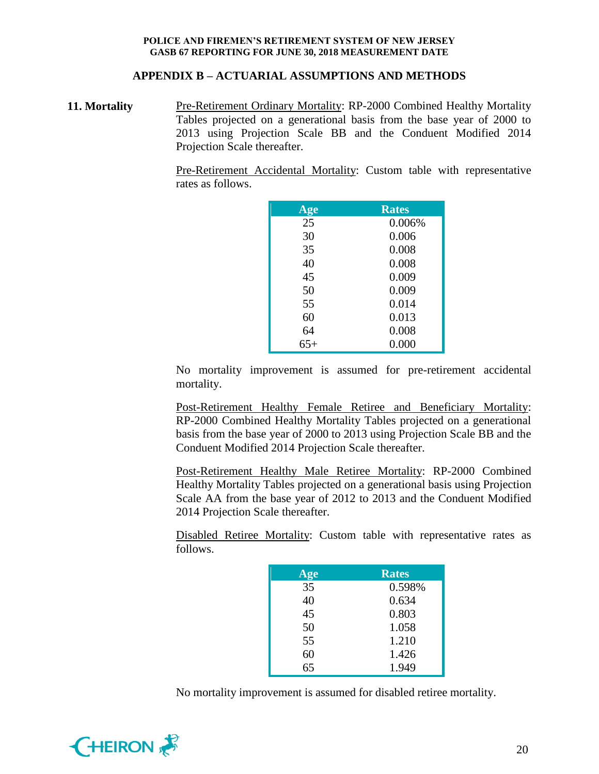### **APPENDIX B – ACTUARIAL ASSUMPTIONS AND METHODS**

**11. Mortality** Pre-Retirement Ordinary Mortality: RP-2000 Combined Healthy Mortality Tables projected on a generational basis from the base year of 2000 to 2013 using Projection Scale BB and the Conduent Modified 2014 Projection Scale thereafter.

> Pre-Retirement Accidental Mortality: Custom table with representative rates as follows.

| Age   | <b>Rates</b> |
|-------|--------------|
| 25    | 0.006%       |
| 30    | 0.006        |
| 35    | 0.008        |
| 40    | 0.008        |
| 45    | 0.009        |
| 50    | 0.009        |
| 55    | 0.014        |
| 60    | 0.013        |
| 64    | 0.008        |
| $65+$ | 0.000        |

No mortality improvement is assumed for pre-retirement accidental mortality.

Post-Retirement Healthy Female Retiree and Beneficiary Mortality: RP-2000 Combined Healthy Mortality Tables projected on a generational basis from the base year of 2000 to 2013 using Projection Scale BB and the Conduent Modified 2014 Projection Scale thereafter.

Post-Retirement Healthy Male Retiree Mortality: RP-2000 Combined Healthy Mortality Tables projected on a generational basis using Projection Scale AA from the base year of 2012 to 2013 and the Conduent Modified 2014 Projection Scale thereafter.

Disabled Retiree Mortality: Custom table with representative rates as follows.

| Age | <b>Rates</b> |
|-----|--------------|
| 35  | 0.598%       |
| 40  | 0.634        |
| 45  | 0.803        |
| 50  | 1.058        |
| 55  | 1.210        |
| 60  | 1.426        |
| 65  | 1.949        |

No mortality improvement is assumed for disabled retiree mortality.

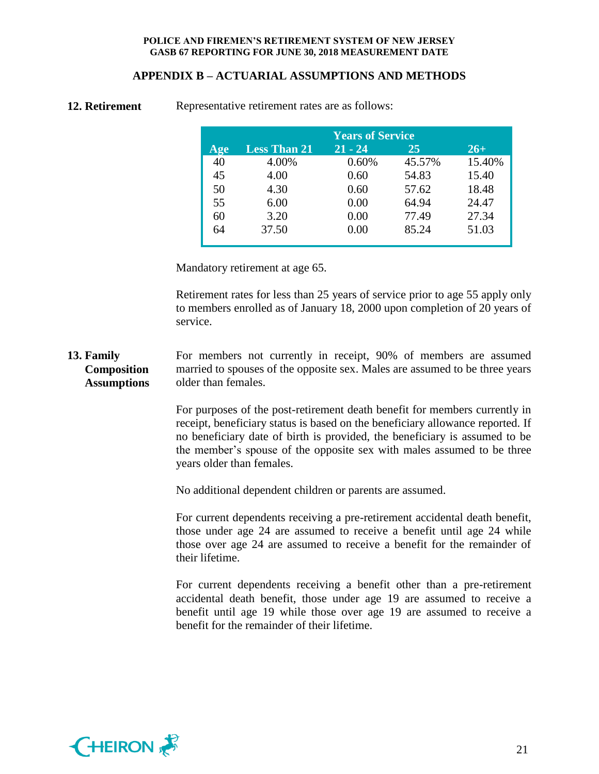# **APPENDIX B – ACTUARIAL ASSUMPTIONS AND METHODS**

| <b>Years of Service</b> |                     |           |        |        |  |  |  |  |
|-------------------------|---------------------|-----------|--------|--------|--|--|--|--|
| Age                     | <b>Less Than 21</b> | $21 - 24$ | 25     | $26+$  |  |  |  |  |
| 40                      | 4.00%               | 0.60%     | 45.57% | 15.40% |  |  |  |  |
| 45                      | 4.00                | 0.60      | 54.83  | 15.40  |  |  |  |  |
| 50                      | 4.30                | 0.60      | 57.62  | 18.48  |  |  |  |  |
| 55                      | 6.00                | 0.00      | 64.94  | 24.47  |  |  |  |  |
| 60                      | 3.20                | 0.00      | 77.49  | 27.34  |  |  |  |  |
| 64                      | 37.50               | 0.00      | 85.24  | 51.03  |  |  |  |  |
|                         |                     |           |        |        |  |  |  |  |

**12. Retirement** Representative retirement rates are as follows:

Mandatory retirement at age 65.

Retirement rates for less than 25 years of service prior to age 55 apply only to members enrolled as of January 18, 2000 upon completion of 20 years of service.

**13. Family Composition Assumptions** For members not currently in receipt, 90% of members are assumed married to spouses of the opposite sex. Males are assumed to be three years older than females.

> For purposes of the post-retirement death benefit for members currently in receipt, beneficiary status is based on the beneficiary allowance reported. If no beneficiary date of birth is provided, the beneficiary is assumed to be the member's spouse of the opposite sex with males assumed to be three years older than females.

No additional dependent children or parents are assumed.

For current dependents receiving a pre-retirement accidental death benefit, those under age 24 are assumed to receive a benefit until age 24 while those over age 24 are assumed to receive a benefit for the remainder of their lifetime.

For current dependents receiving a benefit other than a pre-retirement accidental death benefit, those under age 19 are assumed to receive a benefit until age 19 while those over age 19 are assumed to receive a benefit for the remainder of their lifetime.

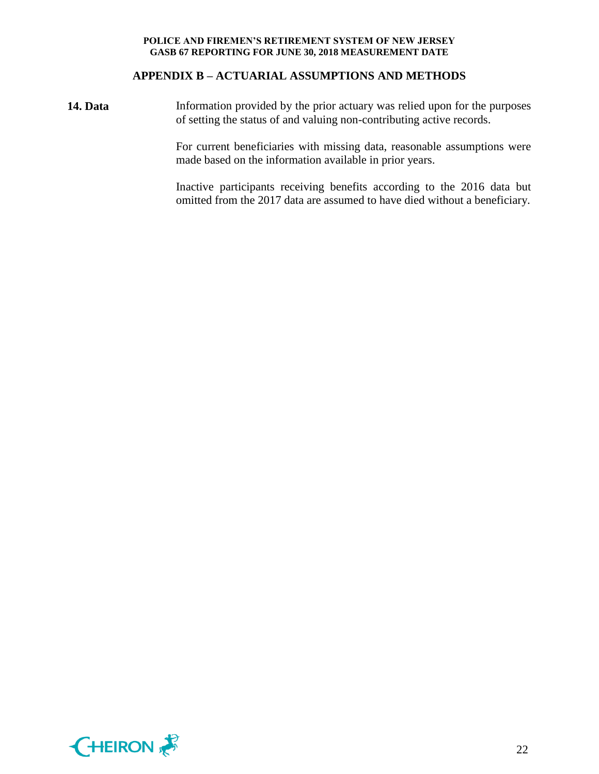### **APPENDIX B – ACTUARIAL ASSUMPTIONS AND METHODS**

**14. Data** Information provided by the prior actuary was relied upon for the purposes of setting the status of and valuing non-contributing active records.

> For current beneficiaries with missing data, reasonable assumptions were made based on the information available in prior years.

> Inactive participants receiving benefits according to the 2016 data but omitted from the 2017 data are assumed to have died without a beneficiary.

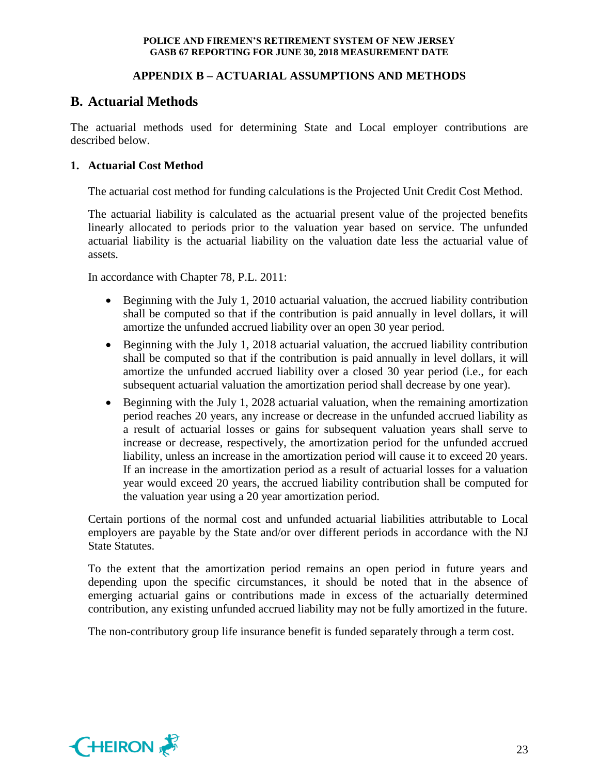# **APPENDIX B – ACTUARIAL ASSUMPTIONS AND METHODS**

# **B. Actuarial Methods**

The actuarial methods used for determining State and Local employer contributions are described below.

# **1. Actuarial Cost Method**

The actuarial cost method for funding calculations is the Projected Unit Credit Cost Method.

The actuarial liability is calculated as the actuarial present value of the projected benefits linearly allocated to periods prior to the valuation year based on service. The unfunded actuarial liability is the actuarial liability on the valuation date less the actuarial value of assets.

In accordance with Chapter 78, P.L. 2011:

- Beginning with the July 1, 2010 actuarial valuation, the accrued liability contribution shall be computed so that if the contribution is paid annually in level dollars, it will amortize the unfunded accrued liability over an open 30 year period.
- Beginning with the July 1, 2018 actuarial valuation, the accrued liability contribution shall be computed so that if the contribution is paid annually in level dollars, it will amortize the unfunded accrued liability over a closed 30 year period (i.e., for each subsequent actuarial valuation the amortization period shall decrease by one year).
- Beginning with the July 1, 2028 actuarial valuation, when the remaining amortization period reaches 20 years, any increase or decrease in the unfunded accrued liability as a result of actuarial losses or gains for subsequent valuation years shall serve to increase or decrease, respectively, the amortization period for the unfunded accrued liability, unless an increase in the amortization period will cause it to exceed 20 years. If an increase in the amortization period as a result of actuarial losses for a valuation year would exceed 20 years, the accrued liability contribution shall be computed for the valuation year using a 20 year amortization period.

Certain portions of the normal cost and unfunded actuarial liabilities attributable to Local employers are payable by the State and/or over different periods in accordance with the NJ State Statutes.

To the extent that the amortization period remains an open period in future years and depending upon the specific circumstances, it should be noted that in the absence of emerging actuarial gains or contributions made in excess of the actuarially determined contribution, any existing unfunded accrued liability may not be fully amortized in the future.

The non-contributory group life insurance benefit is funded separately through a term cost.

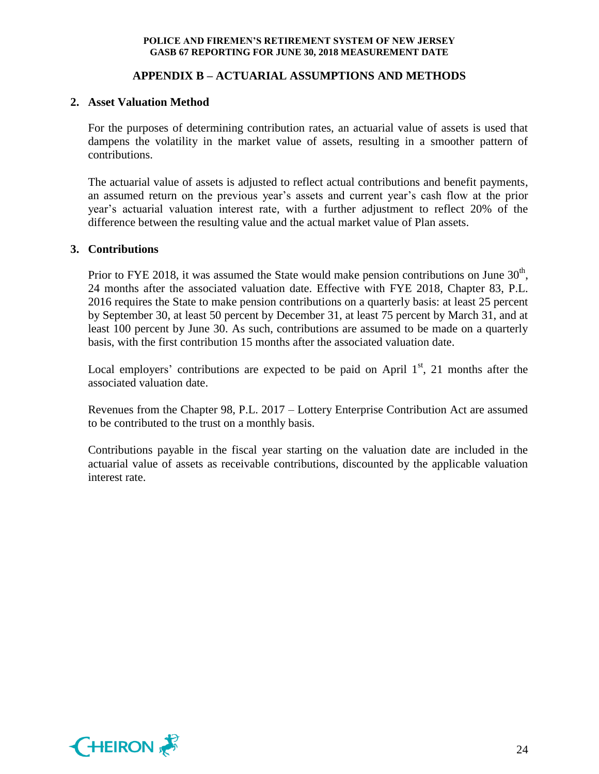# **APPENDIX B – ACTUARIAL ASSUMPTIONS AND METHODS**

### **2. Asset Valuation Method**

For the purposes of determining contribution rates, an actuarial value of assets is used that dampens the volatility in the market value of assets, resulting in a smoother pattern of contributions.

The actuarial value of assets is adjusted to reflect actual contributions and benefit payments, an assumed return on the previous year's assets and current year's cash flow at the prior year's actuarial valuation interest rate, with a further adjustment to reflect 20% of the difference between the resulting value and the actual market value of Plan assets.

### **3. Contributions**

Prior to FYE 2018, it was assumed the State would make pension contributions on June  $30<sup>th</sup>$ , 24 months after the associated valuation date. Effective with FYE 2018, Chapter 83, P.L. 2016 requires the State to make pension contributions on a quarterly basis: at least 25 percent by September 30, at least 50 percent by December 31, at least 75 percent by March 31, and at least 100 percent by June 30. As such, contributions are assumed to be made on a quarterly basis, with the first contribution 15 months after the associated valuation date.

Local employers' contributions are expected to be paid on April  $1<sup>st</sup>$ , 21 months after the associated valuation date.

Revenues from the Chapter 98, P.L. 2017 – Lottery Enterprise Contribution Act are assumed to be contributed to the trust on a monthly basis.

Contributions payable in the fiscal year starting on the valuation date are included in the actuarial value of assets as receivable contributions, discounted by the applicable valuation interest rate.

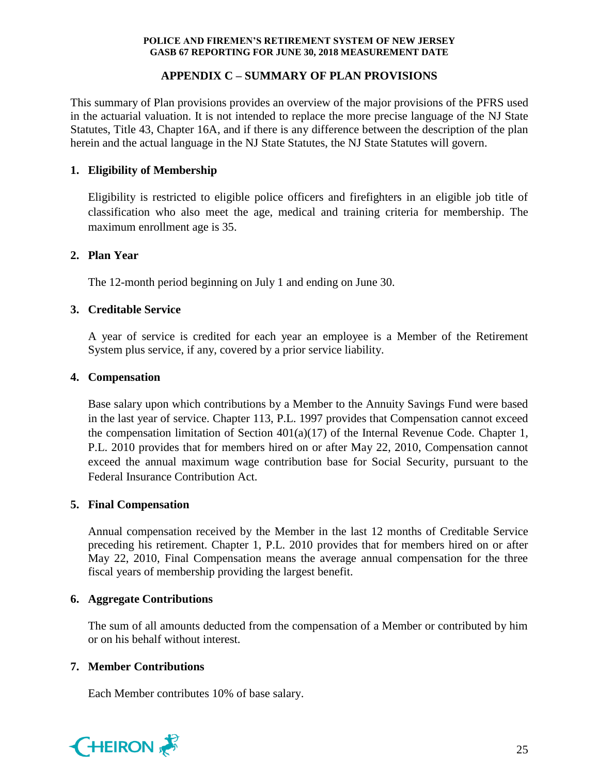# **APPENDIX C – SUMMARY OF PLAN PROVISIONS**

This summary of Plan provisions provides an overview of the major provisions of the PFRS used in the actuarial valuation. It is not intended to replace the more precise language of the NJ State Statutes, Title 43, Chapter 16A, and if there is any difference between the description of the plan herein and the actual language in the NJ State Statutes, the NJ State Statutes will govern.

# **1. Eligibility of Membership**

Eligibility is restricted to eligible police officers and firefighters in an eligible job title of classification who also meet the age, medical and training criteria for membership. The maximum enrollment age is 35.

### **2. Plan Year**

The 12-month period beginning on July 1 and ending on June 30.

# **3. Creditable Service**

A year of service is credited for each year an employee is a Member of the Retirement System plus service, if any, covered by a prior service liability.

# **4. Compensation**

Base salary upon which contributions by a Member to the Annuity Savings Fund were based in the last year of service. Chapter 113, P.L. 1997 provides that Compensation cannot exceed the compensation limitation of Section 401(a)(17) of the Internal Revenue Code. Chapter 1, P.L. 2010 provides that for members hired on or after May 22, 2010, Compensation cannot exceed the annual maximum wage contribution base for Social Security, pursuant to the Federal Insurance Contribution Act.

### **5. Final Compensation**

Annual compensation received by the Member in the last 12 months of Creditable Service preceding his retirement. Chapter 1, P.L. 2010 provides that for members hired on or after May 22, 2010, Final Compensation means the average annual compensation for the three fiscal years of membership providing the largest benefit.

### **6. Aggregate Contributions**

The sum of all amounts deducted from the compensation of a Member or contributed by him or on his behalf without interest.

# **7. Member Contributions**

Each Member contributes 10% of base salary.

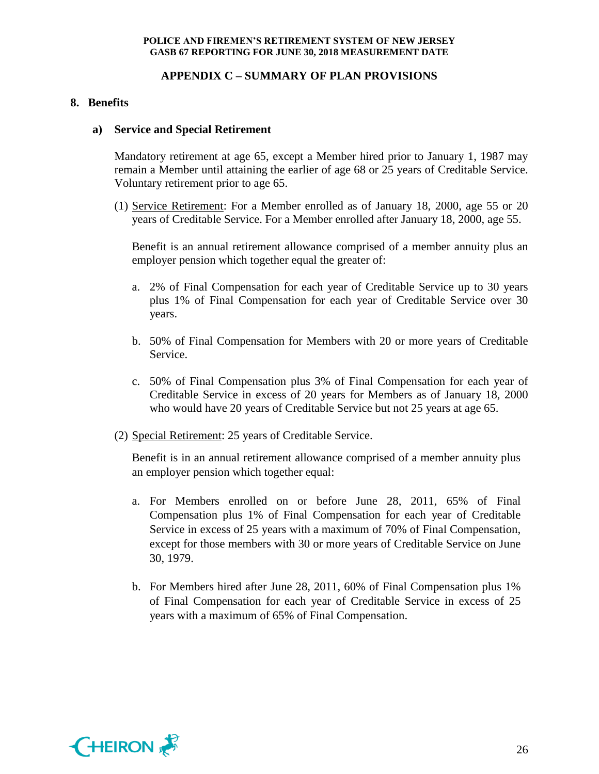### **APPENDIX C – SUMMARY OF PLAN PROVISIONS**

### **8. Benefits**

#### **a) Service and Special Retirement**

Mandatory retirement at age 65, except a Member hired prior to January 1, 1987 may remain a Member until attaining the earlier of age 68 or 25 years of Creditable Service. Voluntary retirement prior to age 65.

(1) Service Retirement: For a Member enrolled as of January 18, 2000, age 55 or 20 years of Creditable Service. For a Member enrolled after January 18, 2000, age 55.

Benefit is an annual retirement allowance comprised of a member annuity plus an employer pension which together equal the greater of:

- a. 2% of Final Compensation for each year of Creditable Service up to 30 years plus 1% of Final Compensation for each year of Creditable Service over 30 years.
- b. 50% of Final Compensation for Members with 20 or more years of Creditable Service.
- c. 50% of Final Compensation plus 3% of Final Compensation for each year of Creditable Service in excess of 20 years for Members as of January 18, 2000 who would have 20 years of Creditable Service but not 25 years at age 65.
- (2) Special Retirement: 25 years of Creditable Service.

Benefit is in an annual retirement allowance comprised of a member annuity plus an employer pension which together equal:

- a. For Members enrolled on or before June 28, 2011, 65% of Final Compensation plus 1% of Final Compensation for each year of Creditable Service in excess of 25 years with a maximum of 70% of Final Compensation, except for those members with 30 or more years of Creditable Service on June 30, 1979.
- b. For Members hired after June 28, 2011, 60% of Final Compensation plus 1% of Final Compensation for each year of Creditable Service in excess of 25 years with a maximum of 65% of Final Compensation.

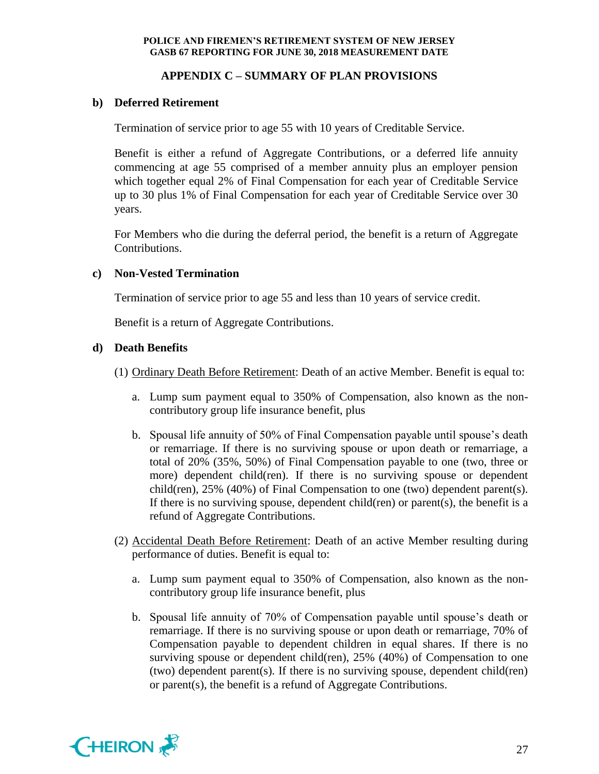# **APPENDIX C – SUMMARY OF PLAN PROVISIONS**

# **b) Deferred Retirement**

Termination of service prior to age 55 with 10 years of Creditable Service.

Benefit is either a refund of Aggregate Contributions, or a deferred life annuity commencing at age 55 comprised of a member annuity plus an employer pension which together equal 2% of Final Compensation for each year of Creditable Service up to 30 plus 1% of Final Compensation for each year of Creditable Service over 30 years.

For Members who die during the deferral period, the benefit is a return of Aggregate Contributions.

### **c) Non-Vested Termination**

Termination of service prior to age 55 and less than 10 years of service credit.

Benefit is a return of Aggregate Contributions.

### **d) Death Benefits**

- (1) Ordinary Death Before Retirement: Death of an active Member. Benefit is equal to:
	- a. Lump sum payment equal to 350% of Compensation, also known as the noncontributory group life insurance benefit, plus
	- b. Spousal life annuity of 50% of Final Compensation payable until spouse's death or remarriage. If there is no surviving spouse or upon death or remarriage, a total of 20% (35%, 50%) of Final Compensation payable to one (two, three or more) dependent child(ren). If there is no surviving spouse or dependent child(ren),  $25\%$  (40%) of Final Compensation to one (two) dependent parent(s). If there is no surviving spouse, dependent child(ren) or parent(s), the benefit is a refund of Aggregate Contributions.
- (2) Accidental Death Before Retirement: Death of an active Member resulting during performance of duties. Benefit is equal to:
	- a. Lump sum payment equal to 350% of Compensation, also known as the noncontributory group life insurance benefit, plus
	- b. Spousal life annuity of 70% of Compensation payable until spouse's death or remarriage. If there is no surviving spouse or upon death or remarriage, 70% of Compensation payable to dependent children in equal shares. If there is no surviving spouse or dependent child(ren), 25% (40%) of Compensation to one (two) dependent parent(s). If there is no surviving spouse, dependent child(ren) or parent(s), the benefit is a refund of Aggregate Contributions.

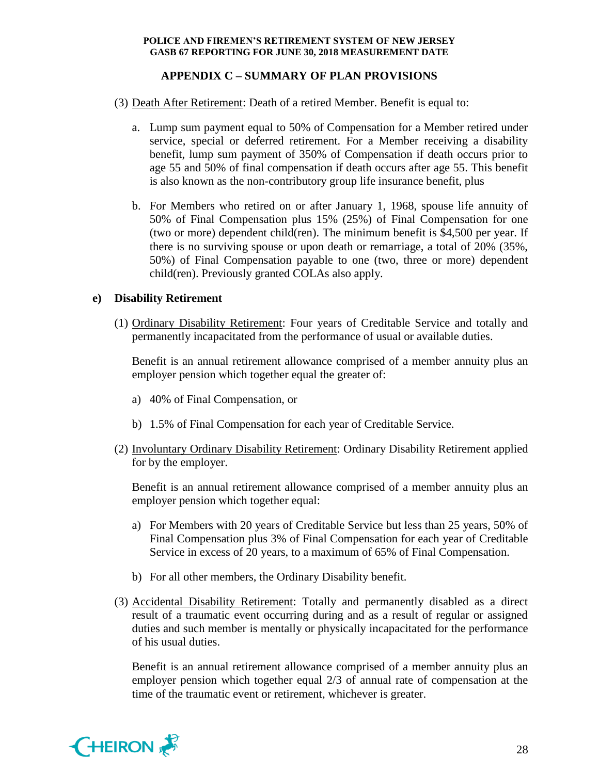# **APPENDIX C – SUMMARY OF PLAN PROVISIONS**

- (3) Death After Retirement: Death of a retired Member. Benefit is equal to:
	- a. Lump sum payment equal to 50% of Compensation for a Member retired under service, special or deferred retirement. For a Member receiving a disability benefit, lump sum payment of 350% of Compensation if death occurs prior to age 55 and 50% of final compensation if death occurs after age 55. This benefit is also known as the non-contributory group life insurance benefit, plus
	- b. For Members who retired on or after January 1, 1968, spouse life annuity of 50% of Final Compensation plus 15% (25%) of Final Compensation for one (two or more) dependent child(ren). The minimum benefit is \$4,500 per year. If there is no surviving spouse or upon death or remarriage, a total of 20% (35%, 50%) of Final Compensation payable to one (two, three or more) dependent child(ren). Previously granted COLAs also apply.

### **e) Disability Retirement**

(1) Ordinary Disability Retirement: Four years of Creditable Service and totally and permanently incapacitated from the performance of usual or available duties.

Benefit is an annual retirement allowance comprised of a member annuity plus an employer pension which together equal the greater of:

- a) 40% of Final Compensation, or
- b) 1.5% of Final Compensation for each year of Creditable Service.
- (2) Involuntary Ordinary Disability Retirement: Ordinary Disability Retirement applied for by the employer.

Benefit is an annual retirement allowance comprised of a member annuity plus an employer pension which together equal:

- a) For Members with 20 years of Creditable Service but less than 25 years, 50% of Final Compensation plus 3% of Final Compensation for each year of Creditable Service in excess of 20 years, to a maximum of 65% of Final Compensation.
- b) For all other members, the Ordinary Disability benefit.
- (3) Accidental Disability Retirement: Totally and permanently disabled as a direct result of a traumatic event occurring during and as a result of regular or assigned duties and such member is mentally or physically incapacitated for the performance of his usual duties.

Benefit is an annual retirement allowance comprised of a member annuity plus an employer pension which together equal 2/3 of annual rate of compensation at the time of the traumatic event or retirement, whichever is greater.

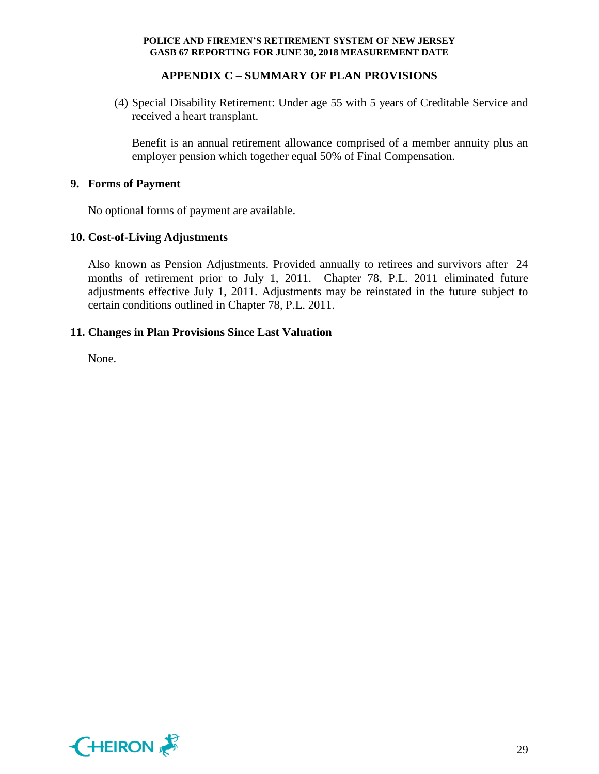# **APPENDIX C – SUMMARY OF PLAN PROVISIONS**

(4) Special Disability Retirement: Under age 55 with 5 years of Creditable Service and received a heart transplant.

Benefit is an annual retirement allowance comprised of a member annuity plus an employer pension which together equal 50% of Final Compensation.

### **9. Forms of Payment**

No optional forms of payment are available.

### **10. Cost-of-Living Adjustments**

Also known as Pension Adjustments. Provided annually to retirees and survivors after 24 months of retirement prior to July 1, 2011. Chapter 78, P.L. 2011 eliminated future adjustments effective July 1, 2011. Adjustments may be reinstated in the future subject to certain conditions outlined in Chapter 78, P.L. 2011.

### **11. Changes in Plan Provisions Since Last Valuation**

None.

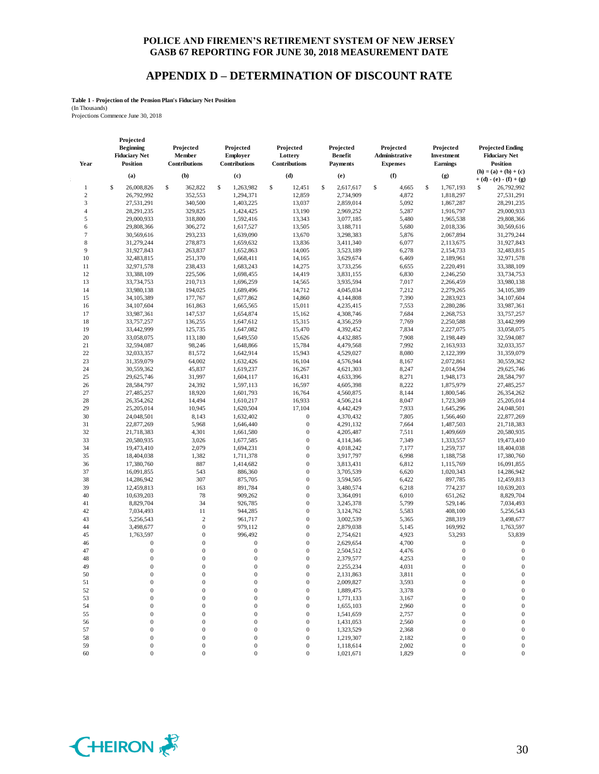### **APPENDIX D – DETERMINATION OF DISCOUNT RATE**

**Table 1 - Projection of the Pension Plan's Fiduciary Net Position**

(In Thousands) Projections Commence June 30, 2018

**Projected** 

| Year             | <b>Beginning</b><br><b>Fiduciary Net</b><br><b>Position</b> | Projected<br>Member<br>Contributions | Projected<br><b>Employer</b><br>Contributions | Projected<br>Lottery<br>Contributions | Projected<br><b>Benefit</b><br><b>Payments</b> | Projected<br>Administrative<br><b>Expenses</b> | Projected<br>Investment<br>Earnings | <b>Projected Ending</b><br><b>Fiduciary Net</b><br><b>Position</b> |
|------------------|-------------------------------------------------------------|--------------------------------------|-----------------------------------------------|---------------------------------------|------------------------------------------------|------------------------------------------------|-------------------------------------|--------------------------------------------------------------------|
|                  | (a)                                                         | (b)                                  | (c)                                           | (d)                                   | (e)                                            | (f)                                            | (g)                                 | $(h) = (a) + (b) + (c)$<br>$+ (d) - (e) - (f) + (g)$               |
| 1                | \$<br>26,008,826                                            | \$<br>362,822                        | \$<br>1,263,982                               | \$<br>12,451                          | \$<br>2,617,617                                | \$<br>4,665                                    | \$<br>1,767,193                     | 26,792,992<br>\$                                                   |
| $\boldsymbol{2}$ | 26,792,992                                                  | 352,553                              | 1,294,371                                     | 12,859                                | 2,734,909                                      | 4,872                                          | 1,818,297                           | 27,531,291                                                         |
| 3                | 27,531,291                                                  | 340,500                              | 1,403,225                                     | 13,037                                | 2,859,014                                      | 5,092                                          | 1,867,287                           | 28,291,235                                                         |
| $\overline{4}$   | 28,291,235                                                  | 329,825                              | 1,424,425                                     | 13,190                                | 2,969,252                                      | 5,287                                          | 1,916,797                           | 29,000,933                                                         |
| 5                | 29,000,933                                                  | 318,800                              | 1,592,416                                     | 13,343                                | 3,077,185                                      | 5,480                                          | 1,965,538                           | 29,808,366                                                         |
| 6                | 29,808,366                                                  | 306,272                              | 1,617,527                                     | 13,505                                | 3,188,711                                      | 5,680                                          | 2,018,336                           | 30,569,616                                                         |
| 7                | 30,569,616                                                  | 293,233                              | 1,639,090                                     | 13,670                                | 3,298,383                                      | 5,876                                          | 2,067,894                           | 31,279,244                                                         |
| 8                | 31,279,244                                                  | 278,873                              | 1,659,632                                     | 13,836                                | 3,411,340                                      | 6,077                                          |                                     | 31,927,843                                                         |
| 9                | 31,927,843                                                  | 263,837                              | 1,652,863                                     | 14,005                                |                                                |                                                | 2,113,675                           | 32,483,815                                                         |
| 10               | 32,483,815                                                  | 251,370                              | 1,668,411                                     | 14,165                                | 3,523,189<br>3,629,674                         | 6,278<br>6,469                                 | 2,154,733<br>2,189,961              | 32,971,578                                                         |
| 11               | 32,971,578                                                  | 238,433                              | 1,683,243                                     | 14,275                                | 3,733,256                                      |                                                |                                     | 33,388,109                                                         |
| 12               | 33,388,109                                                  | 225,506                              | 1,698,455                                     | 14,419                                | 3,831,155                                      | 6,655<br>6,830                                 | 2,220,491<br>2,246,250              | 33,734,753                                                         |
|                  |                                                             |                                      |                                               |                                       |                                                |                                                | 2,266,459                           |                                                                    |
| 13<br>14         | 33,734,753                                                  | 210,713                              | 1,696,259<br>1,689,496                        | 14,565                                | 3,935,594<br>4,045,034                         | 7,017                                          |                                     | 33,980,138<br>34,105,389                                           |
|                  | 33,980,138                                                  | 194,025                              |                                               | 14,712                                |                                                | 7,212                                          | 2,279,265                           |                                                                    |
| 15               | 34,105,389                                                  | 177,767<br>161,863                   | 1,677,862<br>1,665,565                        | 14,860<br>15,011                      | 4,144,808                                      | 7,390<br>7,553                                 | 2,283,923                           | 34,107,604<br>33,987,361                                           |
| 16               | 34,107,604                                                  |                                      |                                               |                                       | 4,235,415                                      |                                                | 2,280,286                           |                                                                    |
| 17               | 33,987,361                                                  | 147,537                              | 1,654,874                                     | 15,162                                | 4,308,746                                      | 7,684                                          | 2,268,753                           | 33,757,257                                                         |
| 18               | 33,757,257                                                  | 136,255                              | 1,647,612                                     | 15,315                                | 4,356,259                                      | 7,769                                          | 2,250,588                           | 33,442,999                                                         |
| 19               | 33,442,999                                                  | 125,735                              | 1,647,082                                     | 15,470                                | 4,392,452                                      | 7,834                                          | 2,227,075                           | 33,058,075                                                         |
| 20               | 33,058,075                                                  | 113,180                              | 1,649,550                                     | 15,626                                | 4,432,885                                      | 7,908                                          | 2,198,449                           | 32,594,087                                                         |
| 21               | 32,594,087                                                  | 98,246                               | 1,648,866                                     | 15,784                                | 4,479,568                                      | 7,992                                          | 2,163,933                           | 32,033,357                                                         |
| 22               | 32,033,357                                                  | 81,572                               | 1,642,914                                     | 15,943                                | 4,529,027                                      | 8,080                                          | 2,122,399                           | 31,359,079                                                         |
| 23               | 31,359,079                                                  | 64,002                               | 1,632,426                                     | 16,104                                | 4,576,944                                      | 8,167                                          | 2,072,861                           | 30,559,362                                                         |
| 24               | 30,559,362                                                  | 45,837                               | 1,619,237                                     | 16,267                                | 4,621,303                                      | 8,247                                          | 2,014,594                           | 29,625,746                                                         |
| 25               | 29,625,746                                                  | 31,997                               | 1,604,117                                     | 16,431                                | 4,633,396                                      | 8,271                                          | 1,948,173                           | 28,584,797                                                         |
| 26               | 28,584,797                                                  | 24,392                               | 1,597,113                                     | 16,597                                | 4,605,398                                      | 8,222                                          | 1,875,979                           | 27,485,257                                                         |
| 27               | 27,485,257                                                  | 18,920                               | 1,601,793                                     | 16,764                                | 4,560,875                                      | 8,144                                          | 1,800,546                           | 26,354,262                                                         |
| 28               | 26,354,262                                                  | 14,494                               | 1,610,217                                     | 16,933                                | 4,506,214                                      | 8,047                                          | 1,723,369                           | 25,205,014                                                         |
| 29               | 25,205,014                                                  | 10,945                               | 1,620,504                                     | 17,104                                | 4,442,429                                      | 7,933                                          | 1,645,296                           | 24,048,501                                                         |
| 30               | 24,048,501                                                  | 8,143                                | 1,632,402                                     | $\boldsymbol{0}$                      | 4,370,432                                      | 7,805                                          | 1,566,460                           | 22,877,269                                                         |
| 31               | 22,877,269                                                  | 5,968                                | 1,646,440                                     | $\boldsymbol{0}$                      | 4,291,132                                      | 7,664                                          | 1,487,503                           | 21,718,383                                                         |
| 32               | 21,718,383                                                  | 4,301                                | 1,661,580                                     | $\boldsymbol{0}$                      | 4,205,487                                      | 7,511                                          | 1,409,669                           | 20,580,935                                                         |
| 33               | 20,580,935                                                  | 3,026                                | 1,677,585                                     | $\mathbf{0}$                          | 4,114,346                                      | 7,349                                          | 1,333,557                           | 19,473,410                                                         |
| 34               | 19,473,410                                                  | 2,079                                | 1,694,231                                     | $\mathbf{0}$                          | 4,018,242                                      | 7,177                                          | 1,259,737                           | 18,404,038                                                         |
| 35               | 18,404,038                                                  | 1,382                                | 1,711,378                                     | $\boldsymbol{0}$                      | 3,917,797                                      | 6,998                                          | 1,188,758                           | 17,380,760                                                         |
| 36               | 17,380,760                                                  | 887                                  | 1,414,682                                     | $\mathbf{0}$                          | 3,813,431                                      | 6,812                                          | 1,115,769                           | 16,091,855                                                         |
| 37               | 16,091,855                                                  | 543                                  | 886,360                                       | $\boldsymbol{0}$                      | 3,705,539                                      | 6,620                                          | 1,020,343                           | 14,286,942                                                         |
| 38               | 14,286,942                                                  | 307                                  | 875,705                                       | $\boldsymbol{0}$                      | 3,594,505                                      | 6,422                                          | 897,785                             | 12,459,813                                                         |
| 39               | 12,459,813                                                  | 163                                  | 891,784                                       | $\mathbf{0}$                          | 3,480,574                                      | 6,218                                          | 774,237                             | 10,639,203                                                         |
| 40               | 10,639,203                                                  | 78                                   | 909,262                                       | $\boldsymbol{0}$                      | 3,364,091                                      | 6,010                                          | 651,262                             | 8,829,704                                                          |
| 41               | 8,829,704                                                   | 34                                   | 926,785                                       | $\boldsymbol{0}$                      | 3,245,378                                      | 5,799                                          | 529,146                             | 7,034,493                                                          |
| 42               | 7,034,493                                                   | 11                                   | 944,285                                       | $\boldsymbol{0}$                      | 3,124,762                                      | 5,583                                          | 408,100                             | 5,256,543                                                          |
| 43               | 5,256,543                                                   | $\sqrt{2}$                           | 961,717                                       | $\boldsymbol{0}$                      | 3,002,539                                      | 5,365                                          | 288,319                             | 3,498,677                                                          |
| 44               | 3,498,677                                                   | $\boldsymbol{0}$                     | 979,112                                       | $\mathbf{0}$                          | 2,879,038                                      | 5,145                                          | 169,992                             | 1,763,597                                                          |
| 45               | 1,763,597                                                   | $\boldsymbol{0}$                     | 996,492                                       | $\boldsymbol{0}$                      | 2,754,621                                      | 4,923                                          | 53,293                              | 53,839                                                             |
| 46               | $\boldsymbol{0}$                                            | $\mathbf{0}$                         | $\mathbf{0}$                                  | $\mathbf{0}$                          | 2,629,654                                      | 4,700                                          | $\boldsymbol{0}$                    | $\boldsymbol{0}$                                                   |
| 47               | $\boldsymbol{0}$                                            | $\overline{0}$                       | $\mathbf{0}$                                  | $\mathbf{0}$                          | 2,504,512                                      | 4,476                                          | $\boldsymbol{0}$                    | $\mathbf{0}$                                                       |
| 48               | $\boldsymbol{0}$                                            | $\boldsymbol{0}$                     | $\mathbf{0}$                                  | $\boldsymbol{0}$                      | 2,379,577                                      | 4,253                                          | $\boldsymbol{0}$                    | $\mathbf{0}$                                                       |
| 49               | $\overline{0}$                                              | $\mathbf 0$                          | $\mathbf{0}$                                  | $\mathbf{0}$                          | 2,255,234                                      | 4,031                                          | $\boldsymbol{0}$                    | $\boldsymbol{0}$                                                   |
| 50               | $\overline{0}$                                              | $\overline{0}$                       | $\mathbf{0}$                                  | $\mathbf{0}$                          | 2,131,863                                      | 3,811                                          | $\mathbf{0}$                        | $\boldsymbol{0}$                                                   |
| 51               | $\Omega$                                                    | $\theta$                             | $\Omega$                                      | $\boldsymbol{0}$                      | 2,009,827                                      | 3,593                                          | $\Omega$                            | $\Omega$                                                           |
| 52               | 0                                                           | $\boldsymbol{0}$                     | $\boldsymbol{0}$                              | $\boldsymbol{0}$                      | 1,889,475                                      | 3,378                                          | $\boldsymbol{0}$                    | $\theta$                                                           |
| 53               | 0                                                           | 0                                    | $\boldsymbol{0}$                              | $\boldsymbol{0}$                      | 1,771,133                                      | 3,167                                          | $\mathbf{0}$                        | $\mathbf{0}$                                                       |
| 54               | 0                                                           | $\boldsymbol{0}$                     | $\boldsymbol{0}$                              | $\boldsymbol{0}$                      | 1,655,103                                      | 2,960                                          | $\boldsymbol{0}$                    | $\mathbf{0}$                                                       |
| 55               | 0                                                           | 0                                    | $\boldsymbol{0}$                              | $\boldsymbol{0}$                      | 1,541,659                                      | 2,757                                          | $\boldsymbol{0}$                    | $\mathbf{0}$                                                       |
| 56               | 0                                                           | 0                                    | $\boldsymbol{0}$                              | $\boldsymbol{0}$                      | 1,431,053                                      | 2,560                                          | $\boldsymbol{0}$                    | $\boldsymbol{0}$                                                   |
| 57               | 0                                                           | 0                                    | $\boldsymbol{0}$                              | $\boldsymbol{0}$                      | 1,323,529                                      | 2,368                                          | $\boldsymbol{0}$                    | $\mathbf{0}$                                                       |
| 58               | 0                                                           | 0                                    | $\boldsymbol{0}$                              | $\boldsymbol{0}$                      | 1,219,307                                      | 2,182                                          | $\boldsymbol{0}$                    | $\boldsymbol{0}$                                                   |
| 59               | 0                                                           | 0                                    | $\boldsymbol{0}$                              | $\boldsymbol{0}$                      | 1,118,614                                      | 2,002                                          | $\boldsymbol{0}$                    | $\boldsymbol{0}$                                                   |
| 60               | $\boldsymbol{0}$                                            | 0                                    | $\mathbf{0}$                                  | $\boldsymbol{0}$                      | 1,021,671                                      | 1,829                                          | 0                                   | $\boldsymbol{0}$                                                   |

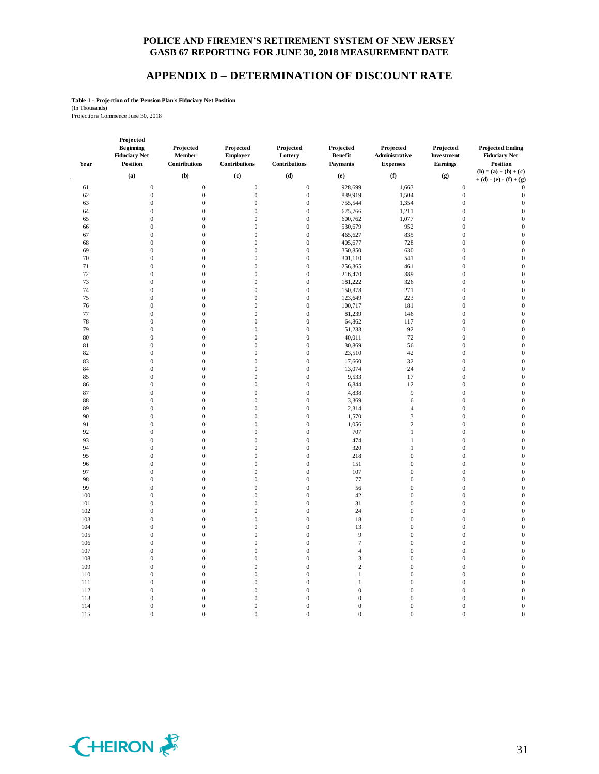### **APPENDIX D – DETERMINATION OF DISCOUNT RATE**

**Table 1 - Projection of the Pension Plan's Fiduciary Net Position**

(In Thousands) Projections Commence June 30, 2018

| Year | Projected<br><b>Beginning</b><br><b>Fiduciary Net</b><br><b>Position</b> | Projected<br>Member<br>Contributions | Projected<br>Employer<br>Contributions | Projected<br>Lottery<br>Contributions | Projected<br><b>Benefit</b><br>Payments | Projected<br>Administrative<br><b>Expenses</b> | Projected<br>Investment<br>Earnings | <b>Projected Ending</b><br><b>Fiduciary Net</b><br><b>Position</b> |
|------|--------------------------------------------------------------------------|--------------------------------------|----------------------------------------|---------------------------------------|-----------------------------------------|------------------------------------------------|-------------------------------------|--------------------------------------------------------------------|
|      | (a)                                                                      | (b)                                  | (c)                                    | (d)                                   | (e)                                     | (f)                                            | (g)                                 | $(h) = (a) + (b) + (c)$                                            |
|      |                                                                          |                                      |                                        |                                       |                                         |                                                |                                     | $+ (d) - (e) - (f) + (g)$                                          |
| 61   | $\boldsymbol{0}$                                                         | $\boldsymbol{0}$                     | $\mathbf{0}$                           | $\boldsymbol{0}$                      | 928,699                                 | 1,663                                          | $\mathbf{0}$                        | $\theta$                                                           |
| 62   | $\overline{0}$                                                           | $\boldsymbol{0}$                     | $\mathbf{0}$                           | $\boldsymbol{0}$                      | 839,919                                 | 1,504                                          | $\mathbf{0}$                        | $\boldsymbol{0}$                                                   |
| 63   | $\boldsymbol{0}$                                                         | $\boldsymbol{0}$                     | $\mathbf{0}$                           | $\boldsymbol{0}$                      | 755,544                                 | 1,354                                          | $\mathbf{0}$                        | $\boldsymbol{0}$                                                   |
| 64   | $\boldsymbol{0}$                                                         | $\boldsymbol{0}$                     | $\mathbf{0}$                           | $\boldsymbol{0}$                      | 675,766                                 | 1,211                                          | $\boldsymbol{0}$                    | $\mathbf{0}$                                                       |
| 65   | $\boldsymbol{0}$                                                         | $\boldsymbol{0}$                     | $\mathbf{0}$                           | $\boldsymbol{0}$                      | 600,762                                 | 1,077                                          | $\mathbf{0}$                        | $\mathbf{0}$                                                       |
| 66   | $\boldsymbol{0}$                                                         | $\overline{0}$                       | $\mathbf{0}$                           | $\boldsymbol{0}$                      | 530,679                                 | 952                                            | $\mathbf{0}$                        | $\mathbf{0}$                                                       |
| 67   | $\boldsymbol{0}$                                                         | $\boldsymbol{0}$                     | $\mathbf{0}$                           | $\boldsymbol{0}$                      | 465,627                                 | 835                                            | $\boldsymbol{0}$                    | $\mathbf{0}$                                                       |
| 68   | $\boldsymbol{0}$                                                         | $\boldsymbol{0}$                     | $\boldsymbol{0}$                       | $\boldsymbol{0}$                      | 405,677                                 | 728                                            | $\boldsymbol{0}$                    | $\mathbf{0}$                                                       |
| 69   | $\boldsymbol{0}$                                                         | $\boldsymbol{0}$                     | $\boldsymbol{0}$                       | $\boldsymbol{0}$                      | 350,850                                 | 630                                            | $\boldsymbol{0}$                    | $\boldsymbol{0}$                                                   |
| 70   | $\overline{0}$                                                           | $\boldsymbol{0}$                     | $\boldsymbol{0}$                       | $\boldsymbol{0}$                      | 301,110                                 | 541                                            | $\boldsymbol{0}$                    | $\boldsymbol{0}$                                                   |
| 71   | $\overline{0}$                                                           | $\overline{0}$                       | $\theta$                               | $\boldsymbol{0}$                      | 256,365                                 | 461                                            | $\boldsymbol{0}$                    | $\boldsymbol{0}$                                                   |
| 72   | $\mathbf{0}$                                                             | $\mathbf{0}$                         | $\mathbf{0}$                           | $\mathbf{0}$                          | 216,470                                 | 389                                            | $\mathbf{0}$                        | $\boldsymbol{0}$                                                   |
| 73   | $\overline{0}$                                                           | $\overline{0}$                       | $\mathbf{0}$                           | $\mathbf{0}$                          | 181,222                                 | 326                                            | $\overline{0}$                      | $\mathbf{0}$                                                       |
| 74   | $\boldsymbol{0}$                                                         | $\boldsymbol{0}$                     | $\boldsymbol{0}$                       | $\boldsymbol{0}$                      |                                         | 271                                            | $\boldsymbol{0}$                    | $\mathbf{0}$                                                       |
|      |                                                                          |                                      |                                        |                                       | 150,378                                 |                                                |                                     |                                                                    |
| 75   | $\boldsymbol{0}$                                                         | $\mathbf 0$                          | $\boldsymbol{0}$                       | $\boldsymbol{0}$                      | 123,649                                 | 223                                            | $\boldsymbol{0}$                    | $\mathbf{0}$                                                       |
| 76   | $\boldsymbol{0}$                                                         | $\boldsymbol{0}$                     | $\mathbf{0}$                           | $\boldsymbol{0}$                      | 100,717                                 | 181                                            | $\boldsymbol{0}$                    | $\boldsymbol{0}$                                                   |
| 77   | $\boldsymbol{0}$                                                         | $\boldsymbol{0}$                     | $\mathbf{0}$                           | $\boldsymbol{0}$                      | 81,239                                  | 146                                            | $\boldsymbol{0}$                    | $\mathbf{0}$                                                       |
| 78   | $\boldsymbol{0}$                                                         | $\boldsymbol{0}$                     | $\mathbf{0}$                           | $\boldsymbol{0}$                      | 64,862                                  | 117                                            | $\boldsymbol{0}$                    | $\mathbf{0}$                                                       |
| 79   | $\boldsymbol{0}$                                                         | $\boldsymbol{0}$                     | $\boldsymbol{0}$                       | $\boldsymbol{0}$                      | 51,233                                  | 92                                             | $\boldsymbol{0}$                    | $\mathbf{0}$                                                       |
| 80   | $\boldsymbol{0}$                                                         | $\boldsymbol{0}$                     | $\mathbf{0}$                           | $\boldsymbol{0}$                      | 40,011                                  | $72\,$                                         | $\mathbf{0}$                        | $\mathbf{0}$                                                       |
| 81   | $\boldsymbol{0}$                                                         | $\boldsymbol{0}$                     | $\mathbf{0}$                           | $\boldsymbol{0}$                      | 30,869                                  | 56                                             | $\boldsymbol{0}$                    | $\boldsymbol{0}$                                                   |
| 82   | $\boldsymbol{0}$                                                         | $\boldsymbol{0}$                     | $\mathbf{0}$                           | $\boldsymbol{0}$                      | 23,510                                  | 42                                             | $\boldsymbol{0}$                    | $\boldsymbol{0}$                                                   |
| 83   | $\boldsymbol{0}$                                                         | $\boldsymbol{0}$                     | $\overline{0}$                         | $\mathbf{0}$                          | 17,660                                  | 32                                             | $\mathbf{0}$                        | $\overline{0}$                                                     |
| 84   | $\boldsymbol{0}$                                                         | $\mathbf 0$                          | $\mathbf{0}$                           | $\boldsymbol{0}$                      | 13,074                                  | 24                                             | $\boldsymbol{0}$                    | $\mathbf{0}$                                                       |
| 85   | $\boldsymbol{0}$                                                         | $\boldsymbol{0}$                     | $\mathbf{0}$                           | $\boldsymbol{0}$                      | 9,533                                   | 17                                             | $\overline{0}$                      | $\boldsymbol{0}$                                                   |
| 86   | $\boldsymbol{0}$                                                         | $\boldsymbol{0}$                     | $\mathbf{0}$                           | $\boldsymbol{0}$                      | 6,844                                   | 12                                             | $\boldsymbol{0}$                    | $\overline{0}$                                                     |
| 87   | $\boldsymbol{0}$                                                         | $\boldsymbol{0}$                     | $\mathbf{0}$                           | $\boldsymbol{0}$                      | 4,838                                   | 9                                              | $\boldsymbol{0}$                    | $\overline{0}$                                                     |
| 88   | $\boldsymbol{0}$                                                         | $\boldsymbol{0}$                     | $\mathbf{0}$                           | $\boldsymbol{0}$                      | 3,369                                   | 6                                              | $\boldsymbol{0}$                    | $\mathbf{0}$                                                       |
| 89   | $\boldsymbol{0}$                                                         | $\boldsymbol{0}$                     | $\boldsymbol{0}$                       | $\boldsymbol{0}$                      | 2,314                                   | $\overline{4}$                                 | $\boldsymbol{0}$                    | $\mathbf{0}$                                                       |
| 90   | $\boldsymbol{0}$                                                         | $\boldsymbol{0}$                     | $\mathbf{0}$                           | $\boldsymbol{0}$                      | 1,570                                   | $\mathfrak{Z}$                                 | $\mathbf{0}$                        | $\mathbf{0}$                                                       |
|      |                                                                          |                                      |                                        |                                       |                                         |                                                |                                     |                                                                    |
| 91   | $\boldsymbol{0}$                                                         | $\boldsymbol{0}$                     | $\mathbf{0}$                           | $\boldsymbol{0}$                      | 1,056                                   | $\sqrt{2}$                                     | $\boldsymbol{0}$                    | $\mathbf{0}$                                                       |
| 92   | $\overline{0}$                                                           | $\boldsymbol{0}$                     | $\mathbf{0}$                           | $\boldsymbol{0}$                      | 707                                     | $\mathbf{1}$                                   | $\mathbf{0}$                        | $\mathbf{0}$                                                       |
| 93   | $\overline{0}$                                                           | $\boldsymbol{0}$                     | $\mathbf{0}$                           | $\boldsymbol{0}$                      | 474                                     | $\mathbf{1}$                                   | $\boldsymbol{0}$                    | $\mathbf{0}$                                                       |
| 94   | 0                                                                        | $\boldsymbol{0}$                     | $\mathbf{0}$                           | $\boldsymbol{0}$                      | 320                                     | $\mathbf{1}$                                   | $\boldsymbol{0}$                    | $\boldsymbol{0}$                                                   |
| 95   | $\boldsymbol{0}$                                                         | $\boldsymbol{0}$                     | $\mathbf{0}$                           | $\boldsymbol{0}$                      | 218                                     | $\boldsymbol{0}$                               | $\boldsymbol{0}$                    | $\overline{0}$                                                     |
| 96   | 0                                                                        | $\boldsymbol{0}$                     | $\boldsymbol{0}$                       | $\boldsymbol{0}$                      | 151                                     | $\boldsymbol{0}$                               | $\boldsymbol{0}$                    | $\overline{0}$                                                     |
| 97   | $\boldsymbol{0}$                                                         | $\boldsymbol{0}$                     | $\boldsymbol{0}$                       | $\boldsymbol{0}$                      | 107                                     | $\boldsymbol{0}$                               | $\boldsymbol{0}$                    | $\boldsymbol{0}$                                                   |
| 98   | $\boldsymbol{0}$                                                         | $\boldsymbol{0}$                     | $\mathbf{0}$                           | $\boldsymbol{0}$                      | 77                                      | $\boldsymbol{0}$                               | $\boldsymbol{0}$                    | $\boldsymbol{0}$                                                   |
| 99   | $\boldsymbol{0}$                                                         | $\boldsymbol{0}$                     | $\boldsymbol{0}$                       | $\boldsymbol{0}$                      | 56                                      | $\boldsymbol{0}$                               | $\boldsymbol{0}$                    | $\boldsymbol{0}$                                                   |
| 100  | $\boldsymbol{0}$                                                         | $\boldsymbol{0}$                     | $\mathbf{0}$                           | $\boldsymbol{0}$                      | 42                                      | $\boldsymbol{0}$                               | $\boldsymbol{0}$                    | $\mathbf{0}$                                                       |
| 101  | $\overline{0}$                                                           | $\boldsymbol{0}$                     | $\mathbf{0}$                           | $\boldsymbol{0}$                      | 31                                      | $\boldsymbol{0}$                               | $\boldsymbol{0}$                    | $\mathbf{0}$                                                       |
| 102  | $\boldsymbol{0}$                                                         | $\mathbf 0$                          | $\mathbf{0}$                           | $\boldsymbol{0}$                      | 24                                      | $\boldsymbol{0}$                               | $\boldsymbol{0}$                    | $\mathbf{0}$                                                       |
| 103  | $\boldsymbol{0}$                                                         | $\boldsymbol{0}$                     | $\mathbf{0}$                           | $\boldsymbol{0}$                      | 18                                      | $\boldsymbol{0}$                               | $\boldsymbol{0}$                    | $\mathbf{0}$                                                       |
| 104  | $\overline{0}$                                                           | $\boldsymbol{0}$                     | $\mathbf{0}$                           | $\boldsymbol{0}$                      | 13                                      | $\boldsymbol{0}$                               | $\boldsymbol{0}$                    | $\mathbf{0}$                                                       |
| 105  | $\overline{0}$                                                           | $\boldsymbol{0}$                     | $\mathbf{0}$                           | $\boldsymbol{0}$                      | 9                                       | $\boldsymbol{0}$                               | $\boldsymbol{0}$                    | $\mathbf{0}$                                                       |
| 106  | $\boldsymbol{0}$                                                         | $\boldsymbol{0}$                     | $\mathbf{0}$                           | $\boldsymbol{0}$                      | $\tau$                                  | $\boldsymbol{0}$                               | $\boldsymbol{0}$                    | $\mathbf{0}$                                                       |
| 107  | $\boldsymbol{0}$                                                         | $\boldsymbol{0}$                     | $\mathbf{0}$                           | $\boldsymbol{0}$                      | $\overline{4}$                          | $\boldsymbol{0}$                               | $\boldsymbol{0}$                    | $\mathbf{0}$                                                       |
|      |                                                                          |                                      |                                        | $\boldsymbol{0}$                      | $\mathfrak z$                           | $\boldsymbol{0}$                               | $\mathbf{0}$                        | $\overline{0}$                                                     |
| 108  | $\boldsymbol{0}$                                                         | $\boldsymbol{0}$                     | $\boldsymbol{0}$                       |                                       |                                         |                                                |                                     |                                                                    |
| 109  | $\boldsymbol{0}$                                                         | $\boldsymbol{0}$                     | $\mathbf{0}$                           | $\boldsymbol{0}$                      | $\overline{2}$                          | $\boldsymbol{0}$                               | $\mathbf{0}$                        | $\overline{0}$                                                     |
| 110  | $\boldsymbol{0}$                                                         | $\boldsymbol{0}$                     | $\boldsymbol{0}$                       | $\boldsymbol{0}$                      | $\,1\,$                                 | $\boldsymbol{0}$                               | $\boldsymbol{0}$                    | $\mathbf{0}$                                                       |
| 111  | $\boldsymbol{0}$                                                         | $\boldsymbol{0}$                     | $\boldsymbol{0}$                       | $\boldsymbol{0}$                      | $\,1\,$                                 | $\boldsymbol{0}$                               | $\boldsymbol{0}$                    | $\boldsymbol{0}$                                                   |
| 112  | $\boldsymbol{0}$                                                         | $\boldsymbol{0}$                     | $\boldsymbol{0}$                       | $\boldsymbol{0}$                      | $\boldsymbol{0}$                        | $\boldsymbol{0}$                               | $\boldsymbol{0}$                    | $\boldsymbol{0}$                                                   |
| 113  | $\overline{0}$                                                           | $\boldsymbol{0}$                     | $\boldsymbol{0}$                       | $\boldsymbol{0}$                      | $\mathbf{0}$                            | $\boldsymbol{0}$                               | $\boldsymbol{0}$                    | $\boldsymbol{0}$                                                   |
| 114  | $\mathbf{0}$                                                             | $\overline{0}$                       | $\mathbf{0}$                           | $\boldsymbol{0}$                      | $\mathbf{0}$                            | $\boldsymbol{0}$                               | $\mathbf{0}$                        | $\boldsymbol{0}$                                                   |
| 115  | $\Omega$                                                                 | $\theta$                             | $\theta$                               | $\theta$                              | $\Omega$                                | $\overline{0}$                                 | $\Omega$                            | $\overline{0}$                                                     |

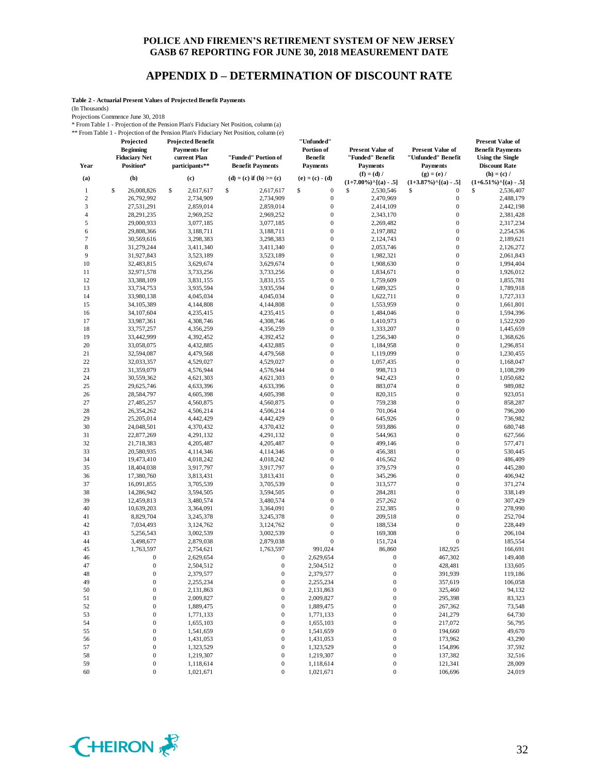### **APPENDIX D – DETERMINATION OF DISCOUNT RATE**

**Table 2 - Actuarial Present Values of Projected Benefit Payments**

(In Thousands)

Projections Commence June 30, 2018

\* From Table 1 - Projection of the Pension Plan's Fiduciary Net Position, column (a) \*\* From Table 1 - Projection of the Pension Plan's Fiduciary Net Position, column (e)

| Year             | Projected<br><b>Beginning</b><br><b>Fiduciary Net</b><br>Position* | <b>Projected Benefit</b><br><b>Payments</b> for<br>current Plan<br>participants** | "Funded" Portion of<br><b>Benefit Payments</b> | "Unfunded"<br>Portion of<br><b>Benefit</b><br><b>Payments</b> | <b>Present Value of</b><br>"Funded" Benefit<br><b>Payments</b> | <b>Present Value of</b><br>"Unfunded" Benefit<br><b>Payments</b> | <b>Present Value of</b><br><b>Benefit Payments</b><br><b>Using the Single</b><br><b>Discount Rate</b> |
|------------------|--------------------------------------------------------------------|-----------------------------------------------------------------------------------|------------------------------------------------|---------------------------------------------------------------|----------------------------------------------------------------|------------------------------------------------------------------|-------------------------------------------------------------------------------------------------------|
| (a)              | (b)                                                                | (c)                                                                               | (d) = (c) if (b) >= (c)                        | $(e) = (c) - (d)$                                             | $(f) = (d) /$<br>$(1+7.00\%)$ <sup>^</sup> [(a) - .5]          | $(g) = (e) /$<br>$(1+3.87\%)$ <sup>^</sup> [(a) - .5]            | $(h) = (c) /$<br>$(1+6.51\%)$ <sup>^</sup> [(a) - .5]                                                 |
| $\mathbf{1}$     | \$<br>26,008,826                                                   | \$<br>2,617,617                                                                   | \$<br>2,617,617                                | \$<br>$\boldsymbol{0}$                                        | \$<br>2,530,546                                                | \$<br>$\boldsymbol{0}$                                           | \$<br>2,536,407                                                                                       |
| $\sqrt{2}$       | 26,792,992                                                         | 2,734,909                                                                         | 2,734,909                                      | $\boldsymbol{0}$                                              | 2,470,969                                                      | $\boldsymbol{0}$                                                 | 2,488,179                                                                                             |
| $\mathfrak z$    | 27,531,291                                                         | 2,859,014                                                                         | 2,859,014                                      | $\boldsymbol{0}$                                              | 2,414,109                                                      | $\boldsymbol{0}$                                                 | 2,442,198                                                                                             |
| $\overline{4}$   | 28,291,235                                                         | 2,969,252                                                                         | 2,969,252                                      | $\boldsymbol{0}$                                              | 2,343,170                                                      | $\boldsymbol{0}$                                                 | 2,381,428                                                                                             |
| 5                | 29,000,933                                                         | 3,077,185                                                                         | 3,077,185                                      | $\boldsymbol{0}$                                              | 2,269,482                                                      | $\boldsymbol{0}$                                                 | 2,317,234                                                                                             |
| 6                | 29,808,366                                                         | 3,188,711                                                                         | 3,188,711                                      | $\mathbf{0}$                                                  | 2,197,882                                                      | $\boldsymbol{0}$                                                 | 2,254,536                                                                                             |
| $\boldsymbol{7}$ | 30,569,616                                                         | 3,298,383                                                                         | 3,298,383                                      | $\boldsymbol{0}$                                              | 2,124,743                                                      | $\boldsymbol{0}$                                                 | 2,189,621                                                                                             |
| 8                | 31,279,244                                                         | 3,411,340                                                                         | 3,411,340                                      | $\boldsymbol{0}$                                              | 2,053,746                                                      | $\boldsymbol{0}$                                                 | 2,126,272                                                                                             |
| 9                | 31,927,843                                                         | 3,523,189                                                                         | 3,523,189                                      | $\boldsymbol{0}$                                              | 1,982,321                                                      | $\boldsymbol{0}$                                                 | 2,061,843                                                                                             |
| $10$             | 32,483,815                                                         | 3,629,674                                                                         | 3,629,674                                      | $\mathbf{0}$                                                  | 1,908,630                                                      | $\boldsymbol{0}$                                                 | 1,994,404                                                                                             |
| 11               | 32,971,578                                                         | 3,733,256                                                                         | 3,733,256                                      | $\boldsymbol{0}$                                              | 1,834,671                                                      | $\boldsymbol{0}$                                                 | 1,926,012                                                                                             |
| 12               | 33,388,109                                                         | 3,831,155                                                                         | 3,831,155                                      | $\boldsymbol{0}$                                              | 1,759,609                                                      | $\boldsymbol{0}$                                                 | 1,855,781                                                                                             |
| 13               | 33,734,753                                                         | 3,935,594                                                                         | 3,935,594                                      | $\boldsymbol{0}$                                              | 1,689,325                                                      | $\boldsymbol{0}$                                                 | 1,789,918                                                                                             |
| 14               | 33,980,138                                                         | 4,045,034                                                                         | 4,045,034                                      | $\boldsymbol{0}$                                              | 1,622,711                                                      | $\boldsymbol{0}$                                                 | 1,727,313                                                                                             |
| 15               | 34, 105, 389                                                       | 4,144,808                                                                         | 4,144,808                                      | $\mathbf{0}$                                                  | 1,553,959                                                      | $\boldsymbol{0}$                                                 | 1,661,801                                                                                             |
| 16               | 34,107,604                                                         | 4,235,415                                                                         | 4,235,415                                      | $\boldsymbol{0}$                                              | 1,484,046                                                      | $\boldsymbol{0}$                                                 | 1,594,396                                                                                             |
| 17               | 33,987,361                                                         | 4,308,746                                                                         | 4,308,746                                      | $\boldsymbol{0}$                                              | 1,410,973                                                      | $\boldsymbol{0}$                                                 | 1,522,920                                                                                             |
| 18               | 33,757,257                                                         | 4,356,259                                                                         | 4,356,259                                      | $\boldsymbol{0}$                                              | 1,333,207                                                      | $\boldsymbol{0}$                                                 | 1,445,659                                                                                             |
| 19               | 33,442,999                                                         | 4,392,452                                                                         | 4,392,452                                      | $\mathbf{0}$                                                  | 1,256,340                                                      | $\boldsymbol{0}$                                                 | 1,368,626                                                                                             |
| 20               | 33,058,075                                                         | 4,432,885                                                                         | 4,432,885                                      | $\boldsymbol{0}$                                              | 1,184,958                                                      | $\boldsymbol{0}$                                                 | 1,296,851                                                                                             |
| 21               | 32,594,087                                                         | 4,479,568                                                                         | 4,479,568                                      | $\boldsymbol{0}$                                              | 1,119,099                                                      | $\boldsymbol{0}$                                                 | 1,230,455                                                                                             |
| 22               | 32,033,357                                                         | 4,529,027                                                                         | 4,529,027                                      | $\boldsymbol{0}$                                              | 1,057,435                                                      | $\boldsymbol{0}$                                                 | 1,168,047                                                                                             |
| 23               | 31,359,079                                                         | 4,576,944                                                                         | 4,576,944                                      | $\boldsymbol{0}$                                              | 998,713                                                        | $\boldsymbol{0}$                                                 | 1,108,299                                                                                             |
| 24               | 30,559,362                                                         | 4,621,303                                                                         | 4,621,303                                      | $\mathbf{0}$                                                  | 942,423                                                        | $\boldsymbol{0}$                                                 | 1,050,682                                                                                             |
| 25               | 29,625,746                                                         | 4,633,396                                                                         | 4,633,396                                      | $\mathbf{0}$                                                  | 883,074                                                        | $\boldsymbol{0}$                                                 | 989,082                                                                                               |
| 26               | 28,584,797                                                         | 4,605,398                                                                         | 4,605,398                                      | $\boldsymbol{0}$                                              | 820,315                                                        | $\boldsymbol{0}$                                                 | 923,051                                                                                               |
| 27               | 27,485,257                                                         | 4,560,875                                                                         | 4,560,875                                      | $\boldsymbol{0}$                                              | 759,238                                                        | $\boldsymbol{0}$                                                 | 858,287                                                                                               |
| 28               | 26,354,262                                                         | 4,506,214                                                                         | 4,506,214                                      | $\boldsymbol{0}$                                              | 701,064                                                        | $\boldsymbol{0}$                                                 | 796,200                                                                                               |
| 29               | 25,205,014                                                         | 4,442,429                                                                         | 4,442,429                                      | $\mathbf{0}$                                                  | 645,926                                                        | $\boldsymbol{0}$                                                 | 736,982                                                                                               |
| 30               | 24,048,501                                                         | 4,370,432                                                                         | 4,370,432                                      | $\boldsymbol{0}$                                              | 593,886                                                        | $\boldsymbol{0}$                                                 | 680,748                                                                                               |
| 31               | 22,877,269                                                         | 4,291,132                                                                         | 4,291,132                                      | $\boldsymbol{0}$                                              | 544,963                                                        | $\boldsymbol{0}$                                                 | 627,566                                                                                               |
| 32               | 21,718,383                                                         | 4,205,487                                                                         | 4,205,487                                      | $\boldsymbol{0}$                                              | 499,146                                                        | $\boldsymbol{0}$                                                 | 577,471                                                                                               |
| 33               | 20,580,935                                                         | 4,114,346                                                                         | 4,114,346                                      | $\mathbf{0}$                                                  | 456,381                                                        | $\boldsymbol{0}$                                                 | 530,445                                                                                               |
| 34               | 19,473,410                                                         | 4,018,242                                                                         | 4,018,242                                      | $\mathbf{0}$                                                  | 416,562                                                        | $\boldsymbol{0}$                                                 | 486,409                                                                                               |
| 35               | 18,404,038                                                         | 3,917,797                                                                         | 3,917,797                                      | $\boldsymbol{0}$                                              | 379,579                                                        | $\boldsymbol{0}$                                                 | 445,280                                                                                               |
| 36               | 17,380,760                                                         | 3,813,431                                                                         | 3,813,431                                      | $\boldsymbol{0}$                                              | 345,296                                                        | $\boldsymbol{0}$                                                 | 406,942                                                                                               |
| 37               | 16,091,855                                                         | 3,705,539                                                                         | 3,705,539                                      | $\boldsymbol{0}$                                              | 313,577                                                        | $\boldsymbol{0}$                                                 | 371,274                                                                                               |
| 38               | 14,286,942                                                         | 3,594,505                                                                         | 3,594,505                                      | $\mathbf{0}$                                                  | 284,281                                                        | $\boldsymbol{0}$                                                 | 338,149                                                                                               |
| 39               | 12,459,813                                                         | 3,480,574                                                                         | 3,480,574                                      | $\boldsymbol{0}$                                              | 257,262                                                        | $\boldsymbol{0}$                                                 | 307,429                                                                                               |
| 40               | 10,639,203                                                         | 3,364,091                                                                         | 3,364,091                                      | $\boldsymbol{0}$                                              | 232,385                                                        | $\boldsymbol{0}$                                                 | 278,990                                                                                               |
| 41               | 8,829,704                                                          | 3,245,378                                                                         | 3,245,378                                      | $\boldsymbol{0}$                                              | 209,518                                                        | $\boldsymbol{0}$                                                 | 252,704                                                                                               |
| 42               | 7,034,493                                                          | 3,124,762                                                                         | 3,124,762                                      | $\mathbf{0}$                                                  | 188,534                                                        | $\boldsymbol{0}$                                                 | 228,449                                                                                               |
| 43               | 5,256,543                                                          | 3,002,539                                                                         | 3,002,539                                      | $\boldsymbol{0}$                                              | 169,308                                                        | $\boldsymbol{0}$                                                 | 206,104                                                                                               |
| 44               | 3,498,677                                                          | 2,879,038                                                                         | 2,879,038                                      | $\mathbf{0}$                                                  | 151,724                                                        | $\boldsymbol{0}$                                                 | 185,554                                                                                               |
| 45               | 1,763,597                                                          | 2,754,621                                                                         | 1,763,597                                      | 991,024                                                       | 86,860                                                         | 182,925                                                          | 166,691                                                                                               |
| 46               | $\boldsymbol{0}$                                                   | 2,629,654                                                                         | $\boldsymbol{0}$                               | 2,629,654                                                     | $\boldsymbol{0}$                                               | 467,302                                                          | 149,408                                                                                               |
| 47               | $\overline{0}$                                                     | 2,504,512                                                                         | $\mathbf{0}$                                   | 2,504,512                                                     | $\boldsymbol{0}$                                               | 428,481                                                          | 133,605                                                                                               |
| 48               | $\boldsymbol{0}$                                                   | 2,379,577                                                                         | $\boldsymbol{0}$                               | 2,379,577                                                     | 0                                                              | 391,939                                                          | 119,186                                                                                               |
| 49               | $\boldsymbol{0}$                                                   | 2,255,234                                                                         | $\boldsymbol{0}$                               | 2,255,234                                                     | $\boldsymbol{0}$                                               | 357,619                                                          | 106,058                                                                                               |
| 50               | $\boldsymbol{0}$                                                   | 2,131,863                                                                         | $\boldsymbol{0}$                               | 2,131,863                                                     | $\boldsymbol{0}$                                               | 325,460                                                          | 94,132                                                                                                |
| 51               | $\boldsymbol{0}$                                                   | 2,009,827                                                                         | $\boldsymbol{0}$                               | 2,009,827                                                     | $\boldsymbol{0}$                                               | 295,398                                                          | 83,323                                                                                                |
| 52               | $\boldsymbol{0}$                                                   | 1,889,475                                                                         | $\boldsymbol{0}$                               | 1,889,475                                                     | $\boldsymbol{0}$                                               | 267,362                                                          | 73,548                                                                                                |
| 53               | $\boldsymbol{0}$                                                   | 1,771,133                                                                         | $\boldsymbol{0}$                               | 1,771,133                                                     | $\boldsymbol{0}$                                               | 241,279                                                          | 64,730                                                                                                |
| 54               | $\boldsymbol{0}$                                                   | 1,655,103                                                                         | $\boldsymbol{0}$                               | 1,655,103                                                     | $\boldsymbol{0}$                                               | 217,072                                                          | 56,795                                                                                                |
| 55               | $\boldsymbol{0}$                                                   | 1,541,659                                                                         | $\boldsymbol{0}$                               | 1,541,659                                                     | $\boldsymbol{0}$                                               | 194,660                                                          | 49,670                                                                                                |
| 56               | $\boldsymbol{0}$                                                   | 1,431,053                                                                         | 0                                              | 1,431,053                                                     | $\boldsymbol{0}$                                               | 173,962                                                          | 43,290                                                                                                |
| 57               | $\boldsymbol{0}$                                                   | 1,323,529                                                                         | 0                                              | 1,323,529                                                     | $\boldsymbol{0}$                                               | 154,896                                                          | 37,592                                                                                                |
| 58               | $\boldsymbol{0}$                                                   | 1,219,307                                                                         | $\boldsymbol{0}$                               | 1,219,307                                                     | $\boldsymbol{0}$                                               | 137,382                                                          | 32,516                                                                                                |
| 59               | $\boldsymbol{0}$                                                   | 1,118,614                                                                         | $\boldsymbol{0}$                               | 1,118,614                                                     | $\boldsymbol{0}$                                               | 121,341                                                          | 28,009                                                                                                |
| 60               | $\boldsymbol{0}$                                                   | 1,021,671                                                                         | $\boldsymbol{0}$                               | 1,021,671                                                     | $\boldsymbol{0}$                                               | 106,696                                                          | 24,019                                                                                                |

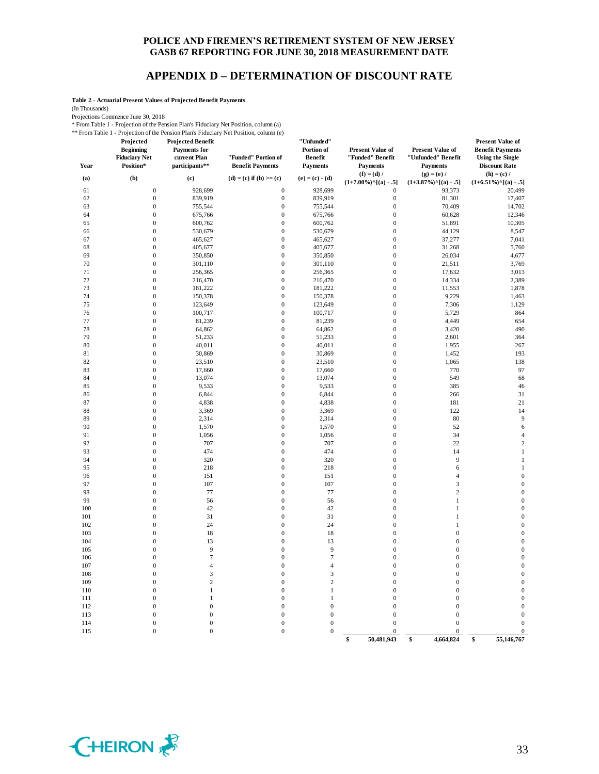### **APPENDIX D – DETERMINATION OF DISCOUNT RATE**

**Table 2 - Actuarial Present Values of Projected Benefit Payments**

(In Thousands)

Projections Commence June 30, 2018

\* From Table 1 - Projection of the Pension Plan's Fiduciary Net Position, column (a)

\*\* From Table 1 - Projection of the Pension Plan's Fiduciary Net Position, column (e)

| 1101111001011<br>Year | Trolection of the 1<br>Projected<br><b>Beginning</b><br><b>Fiduciary Net</b><br>Position* | <b>Projected Benefit</b><br><b>Payments</b> for<br>current Plan<br>participants** | 1011 1 Ruis 1 Ruicher ; 1 fec 1 0 steeds, cordinar (c)<br>"Funded" Portion of<br><b>Benefit Payments</b> | "Unfunded"<br>Portion of<br><b>Benefit</b><br><b>Payments</b> | <b>Present Value of</b><br>"Funded" Benefit<br><b>Payments</b> | <b>Present Value of</b><br>"Unfunded" Benefit<br><b>Payments</b> | <b>Present Value of</b><br><b>Benefit Payments</b><br><b>Using the Single</b><br><b>Discount Rate</b> |
|-----------------------|-------------------------------------------------------------------------------------------|-----------------------------------------------------------------------------------|----------------------------------------------------------------------------------------------------------|---------------------------------------------------------------|----------------------------------------------------------------|------------------------------------------------------------------|-------------------------------------------------------------------------------------------------------|
| (a)                   | (b)                                                                                       | (c)                                                                               | $(d) = (c)$ if $(b) >= (c)$                                                                              | $(e) = (c) - (d)$                                             | $(f) = (d) /$<br>$(1+7.00\%)$ <sup>^</sup> [(a) - .5]          | $(g) = (e) /$<br>$(1+3.87\%)$ <sup>^</sup> [(a) - .5]            | $(h) = (c) /$<br>$(1+6.51\%)$ <sup>^</sup> [(a) - .5]                                                 |
| 61                    | $\boldsymbol{0}$                                                                          | 928,699                                                                           | $\boldsymbol{0}$                                                                                         | 928,699                                                       | $\mathbf{0}$                                                   | 93,373                                                           | 20,499                                                                                                |
| 62                    | $\mathbf{0}$                                                                              | 839,919                                                                           | $\boldsymbol{0}$                                                                                         | 839,919                                                       | $\boldsymbol{0}$                                               | 81,301                                                           | 17,407                                                                                                |
| 63                    | $\boldsymbol{0}$                                                                          | 755,544                                                                           | $\boldsymbol{0}$                                                                                         | 755,544                                                       | $\boldsymbol{0}$                                               | 70,409                                                           | 14,702                                                                                                |
| 64                    | $\boldsymbol{0}$                                                                          | 675,766                                                                           | $\mathbf{0}$                                                                                             | 675,766                                                       | $\mathbf{0}$                                                   | 60,628                                                           | 12,346                                                                                                |
| 65                    | $\boldsymbol{0}$                                                                          | 600,762                                                                           | $\mathbf{0}$                                                                                             | 600,762                                                       | $\boldsymbol{0}$                                               | 51,891                                                           | 10,305                                                                                                |
| 66                    | $\mathbf{0}$                                                                              | 530,679                                                                           | $\mathbf{0}$                                                                                             | 530,679                                                       | $\overline{0}$                                                 | 44,129                                                           | 8,547                                                                                                 |
| 67                    | $\mathbf{0}$                                                                              | 465,627                                                                           | $\mathbf{0}$                                                                                             | 465,627                                                       | $\mathbf{0}$                                                   | 37,277                                                           | 7,041                                                                                                 |
| 68                    | $\boldsymbol{0}$                                                                          | 405,677                                                                           | $\boldsymbol{0}$                                                                                         | 405,677                                                       | $\boldsymbol{0}$                                               | 31,268                                                           | 5,760                                                                                                 |
| 69                    | $\mathbf{0}$                                                                              | 350,850                                                                           | $\boldsymbol{0}$                                                                                         | 350,850                                                       | $\overline{0}$                                                 | 26,034                                                           | 4,677                                                                                                 |
| 70                    | $\boldsymbol{0}$                                                                          | 301,110                                                                           | $\boldsymbol{0}$                                                                                         | 301,110                                                       | $\boldsymbol{0}$                                               | 21,511                                                           | 3,769                                                                                                 |
| 71                    | $\mathbf{0}$                                                                              | 256,365                                                                           | $\boldsymbol{0}$                                                                                         | 256,365                                                       | $\mathbf{0}$                                                   | 17,632                                                           | 3,013                                                                                                 |
| 72                    | $\mathbf{0}$                                                                              | 216,470                                                                           | $\mathbf{0}$                                                                                             | 216,470                                                       | $\overline{0}$                                                 | 14,334                                                           | 2,389                                                                                                 |
| 73                    | $\mathbf{0}$                                                                              | 181,222                                                                           | $\mathbf{0}$                                                                                             | 181,222                                                       | $\mathbf{0}$                                                   | 11,553                                                           | 1,878                                                                                                 |
| 74                    | $\mathbf{0}$                                                                              | 150,378                                                                           | $\boldsymbol{0}$                                                                                         | 150,378                                                       | $\overline{0}$                                                 | 9,229                                                            | 1,463                                                                                                 |
| 75                    | $\boldsymbol{0}$                                                                          | 123,649                                                                           | $\boldsymbol{0}$                                                                                         | 123,649                                                       | $\boldsymbol{0}$                                               | 7,306                                                            | 1,129                                                                                                 |
| 76                    | $\mathbf{0}$                                                                              | 100,717                                                                           | $\boldsymbol{0}$                                                                                         | 100,717                                                       | $\mathbf{0}$                                                   | 5,729                                                            | 864                                                                                                   |
| 77                    | $\mathbf{0}$                                                                              | 81,239                                                                            | $\mathbf{0}$                                                                                             | 81,239                                                        | $\mathbf{0}$                                                   | 4,449                                                            | 654                                                                                                   |
| 78                    | $\mathbf{0}$                                                                              | 64,862                                                                            | $\boldsymbol{0}$                                                                                         | 64,862                                                        | $\boldsymbol{0}$                                               | 3,420                                                            | 490                                                                                                   |
| 79                    | $\mathbf{0}$                                                                              | 51,233                                                                            | $\boldsymbol{0}$                                                                                         | 51,233                                                        | $\overline{0}$                                                 | 2,601                                                            | 364                                                                                                   |
| 80                    | $\boldsymbol{0}$                                                                          | 40,011                                                                            | $\boldsymbol{0}$                                                                                         | 40,011                                                        | $\boldsymbol{0}$                                               | 1,955                                                            | 267                                                                                                   |
| 81                    | $\boldsymbol{0}$                                                                          | 30,869                                                                            | $\boldsymbol{0}$                                                                                         | 30,869                                                        | $\boldsymbol{0}$                                               | 1,452                                                            | 193                                                                                                   |
| 82                    | $\mathbf{0}$                                                                              | 23,510                                                                            | $\boldsymbol{0}$                                                                                         | 23,510                                                        | $\boldsymbol{0}$                                               | 1,065                                                            | 138                                                                                                   |
| 83                    | $\mathbf{0}$                                                                              | 17,660                                                                            | $\boldsymbol{0}$                                                                                         | 17,660                                                        | $\boldsymbol{0}$                                               | 770                                                              | 97                                                                                                    |
| 84                    | $\mathbf{0}$                                                                              | 13,074                                                                            | $\boldsymbol{0}$                                                                                         | 13,074                                                        | $\boldsymbol{0}$                                               | 549                                                              | 68                                                                                                    |
| 85                    | $\boldsymbol{0}$                                                                          | 9,533                                                                             | $\boldsymbol{0}$                                                                                         | 9,533                                                         | $\boldsymbol{0}$                                               | 385                                                              | 46                                                                                                    |
| 86                    | $\boldsymbol{0}$                                                                          | 6,844                                                                             | $\boldsymbol{0}$                                                                                         | 6,844                                                         | $\boldsymbol{0}$                                               | 266                                                              | 31                                                                                                    |
| 87                    | $\mathbf{0}$                                                                              | 4,838                                                                             | $\boldsymbol{0}$                                                                                         | 4,838                                                         | $\boldsymbol{0}$                                               | 181                                                              | 21                                                                                                    |
| 88                    | $\boldsymbol{0}$                                                                          | 3,369                                                                             | $\boldsymbol{0}$                                                                                         | 3,369                                                         | $\boldsymbol{0}$                                               | 122                                                              | 14                                                                                                    |
| 89                    | $\mathbf{0}$                                                                              | 2,314                                                                             | $\boldsymbol{0}$                                                                                         | 2,314                                                         | $\boldsymbol{0}$                                               | 80                                                               | 9                                                                                                     |
| 90                    | $\boldsymbol{0}$                                                                          | 1,570                                                                             | $\boldsymbol{0}$                                                                                         | 1,570                                                         | $\boldsymbol{0}$                                               | 52                                                               | 6                                                                                                     |
| 91                    | $\boldsymbol{0}$                                                                          | 1,056                                                                             | $\boldsymbol{0}$                                                                                         | 1,056                                                         | $\boldsymbol{0}$                                               | 34                                                               | $\overline{4}$                                                                                        |
| 92                    | $\boldsymbol{0}$                                                                          | 707                                                                               | $\boldsymbol{0}$                                                                                         | 707                                                           | $\boldsymbol{0}$                                               | 22                                                               | $\overline{2}$                                                                                        |
| 93<br>94              | $\boldsymbol{0}$<br>$\mathbf{0}$                                                          | 474<br>320                                                                        | $\boldsymbol{0}$<br>$\mathbf{0}$                                                                         | 474<br>320                                                    | $\boldsymbol{0}$<br>$\boldsymbol{0}$                           | 14<br>9                                                          | $\mathbf{1}$<br>$\mathbf{1}$                                                                          |
| 95                    | $\boldsymbol{0}$                                                                          | 218                                                                               | $\mathbf{0}$                                                                                             | 218                                                           | $\boldsymbol{0}$                                               | 6                                                                | $\mathbf{1}$                                                                                          |
| 96                    | $\boldsymbol{0}$                                                                          | 151                                                                               | $\boldsymbol{0}$                                                                                         | 151                                                           | $\boldsymbol{0}$                                               | $\overline{4}$                                                   | $\mathbf{0}$                                                                                          |
| 97                    | $\boldsymbol{0}$                                                                          | 107                                                                               | $\mathbf{0}$                                                                                             | 107                                                           | $\boldsymbol{0}$                                               | 3                                                                | $\boldsymbol{0}$                                                                                      |
| 98                    | $\mathbf{0}$                                                                              | 77                                                                                | $\boldsymbol{0}$                                                                                         | 77                                                            | $\boldsymbol{0}$                                               | $\overline{c}$                                                   | $\boldsymbol{0}$                                                                                      |
| 99                    | $\overline{0}$                                                                            | 56                                                                                | $\mathbf{0}$                                                                                             | 56                                                            | $\mathbf{0}$                                                   | $\mathbf{1}$                                                     | $\boldsymbol{0}$                                                                                      |
| 100                   | $\boldsymbol{0}$                                                                          | 42                                                                                | $\mathbf{0}$                                                                                             | 42                                                            | $\boldsymbol{0}$                                               | $\mathbf{1}$                                                     | $\mathbf{0}$                                                                                          |
| 101                   | $\boldsymbol{0}$                                                                          | 31                                                                                | $\mathbf{0}$                                                                                             | 31                                                            | $\boldsymbol{0}$                                               | 1                                                                | $\boldsymbol{0}$                                                                                      |
| 102                   | $\mathbf{0}$                                                                              | 24                                                                                | $\mathbf{0}$                                                                                             | 24                                                            | $\boldsymbol{0}$                                               | $\mathbf{1}$                                                     | $\boldsymbol{0}$                                                                                      |
| 103                   | $\mathbf{0}$                                                                              | 18                                                                                | $\mathbf{0}$                                                                                             | 18                                                            | $\boldsymbol{0}$                                               | $\boldsymbol{0}$                                                 | $\boldsymbol{0}$                                                                                      |
| 104                   | $\overline{0}$                                                                            | 13                                                                                | $\mathbf{0}$                                                                                             | 13                                                            | $\overline{0}$                                                 | $\boldsymbol{0}$                                                 | $\boldsymbol{0}$                                                                                      |
| 105                   | $\mathbf{0}$                                                                              | 9                                                                                 | $\mathbf{0}$                                                                                             | 9                                                             | $\boldsymbol{0}$                                               | $\boldsymbol{0}$                                                 | $\mathbf{0}$                                                                                          |
| 106                   | $\boldsymbol{0}$                                                                          | $\overline{7}$                                                                    | $\mathbf{0}$                                                                                             | $\overline{7}$                                                | $\boldsymbol{0}$                                               | $\boldsymbol{0}$                                                 | $\mathbf{0}$                                                                                          |
| 107                   | $\boldsymbol{0}$                                                                          | $\overline{4}$                                                                    | $\mathbf{0}$                                                                                             | $\overline{4}$                                                | $\mathbf{0}$                                                   | $\boldsymbol{0}$                                                 | $\mathbf{0}$                                                                                          |
| 108                   | $\mathbf{0}$                                                                              | 3                                                                                 | $\mathbf{0}$                                                                                             | 3                                                             | $\boldsymbol{0}$                                               | $\boldsymbol{0}$                                                 | $\boldsymbol{0}$                                                                                      |
| 109                   | $\overline{0}$                                                                            | $\overline{c}$                                                                    | $\overline{0}$                                                                                           | $\overline{c}$                                                | $\mathbf{0}$                                                   | $\boldsymbol{0}$                                                 | $\boldsymbol{0}$                                                                                      |
| 110                   | $\overline{0}$                                                                            | $\mathbf{1}$                                                                      | $\mathbf{0}$                                                                                             | $\mathbf{1}$                                                  | $\boldsymbol{0}$                                               | $\boldsymbol{0}$                                                 | $\mathbf{0}$                                                                                          |
| 111                   | $\mathbf{0}$                                                                              | $\mathbf{1}$                                                                      | $\mathbf{0}$                                                                                             | $\mathbf{1}$                                                  | $\boldsymbol{0}$                                               | $\boldsymbol{0}$                                                 | $\mathbf{0}$                                                                                          |
| 112                   | $\boldsymbol{0}$                                                                          | $\boldsymbol{0}$                                                                  | $\mathbf{0}$                                                                                             | $\mathbf{0}$                                                  | $\mathbf{0}$                                                   | $\mathbf{0}$                                                     | $\boldsymbol{0}$                                                                                      |
| 113                   | $\boldsymbol{0}$                                                                          | $\boldsymbol{0}$                                                                  | $\mathbf{0}$                                                                                             | $\mathbf{0}$                                                  | $\mathbf{0}$                                                   | $\mathbf{0}$                                                     | $\boldsymbol{0}$                                                                                      |
| 114                   | $\boldsymbol{0}$                                                                          | $\boldsymbol{0}$                                                                  | $\mathbf{0}$                                                                                             | $\mathbf{0}$                                                  | $\mathbf{0}$                                                   | $\mathbf 0$                                                      | $\mathbf{0}$                                                                                          |
| 115                   | $\mathbf{0}$                                                                              | $\boldsymbol{0}$                                                                  | $\boldsymbol{0}$                                                                                         | $\overline{0}$                                                | $\boldsymbol{0}$                                               | $\mathbf 0$                                                      | $\boldsymbol{0}$                                                                                      |
|                       |                                                                                           |                                                                                   |                                                                                                          |                                                               | 50,481,943<br>\$                                               | \$<br>4,664,824                                                  | 55,146,767<br>\$                                                                                      |

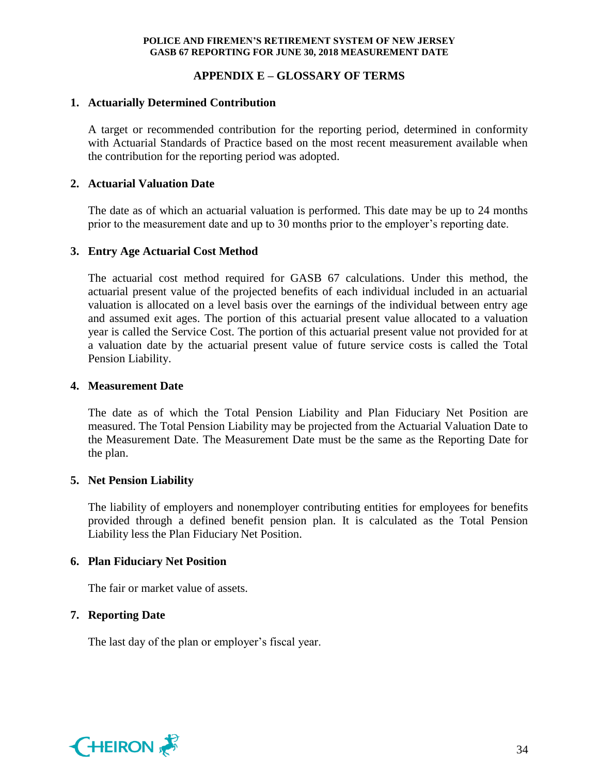# **APPENDIX E – GLOSSARY OF TERMS**

# **1. Actuarially Determined Contribution**

A target or recommended contribution for the reporting period, determined in conformity with Actuarial Standards of Practice based on the most recent measurement available when the contribution for the reporting period was adopted.

# **2. Actuarial Valuation Date**

The date as of which an actuarial valuation is performed. This date may be up to 24 months prior to the measurement date and up to 30 months prior to the employer's reporting date.

# **3. Entry Age Actuarial Cost Method**

The actuarial cost method required for GASB 67 calculations. Under this method, the actuarial present value of the projected benefits of each individual included in an actuarial valuation is allocated on a level basis over the earnings of the individual between entry age and assumed exit ages. The portion of this actuarial present value allocated to a valuation year is called the Service Cost. The portion of this actuarial present value not provided for at a valuation date by the actuarial present value of future service costs is called the Total Pension Liability.

# **4. Measurement Date**

The date as of which the Total Pension Liability and Plan Fiduciary Net Position are measured. The Total Pension Liability may be projected from the Actuarial Valuation Date to the Measurement Date. The Measurement Date must be the same as the Reporting Date for the plan.

### **5. Net Pension Liability**

The liability of employers and nonemployer contributing entities for employees for benefits provided through a defined benefit pension plan. It is calculated as the Total Pension Liability less the Plan Fiduciary Net Position.

### **6. Plan Fiduciary Net Position**

The fair or market value of assets.

# **7. Reporting Date**

The last day of the plan or employer's fiscal year.